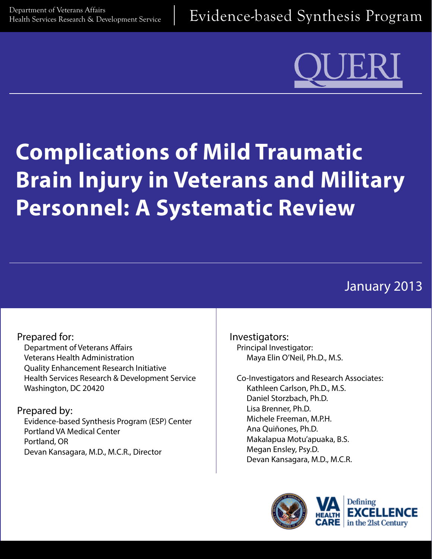

# **Complications of Mild Traumatic Brain Injury in Veterans and Military Personnel: A Systematic Review**

# January 2013

# Prepared for:

Department of Veterans Affairs Veterans Health Administration Quality Enhancement Research Initiative Health Services Research & Development Service Washington, DC 20420

# Prepared by:

Evidence-based Synthesis Program (ESP) Center Portland VA Medical Center Portland, OR Devan Kansagara, M.D., M.C.R., Director

#### Investigators:

Principal Investigator: Maya Elin O'Neil, Ph.D., M.S.

Co-Investigators and Research Associates: Kathleen Carlson, Ph.D., M.S. Daniel Storzbach, Ph.D. Lisa Brenner, Ph.D. Michele Freeman, M.P.H. Ana Quiñones, Ph.D. Makalapua Motu'apuaka, B.S. Megan Ensley, Psy.D. Devan Kansagara, M.D., M.C.R.



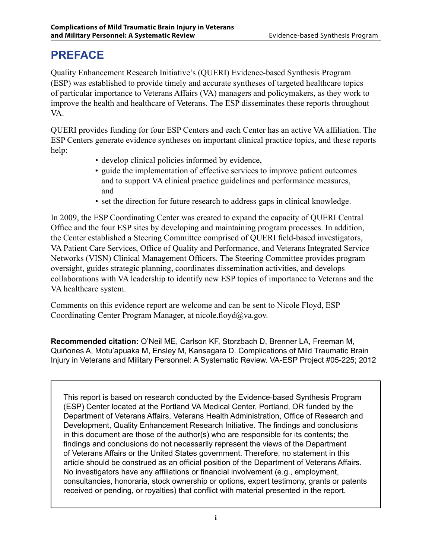# **PREFACE**

Quality Enhancement Research Initiative's (QUERI) Evidence-based Synthesis Program (ESP) was established to provide timely and accurate syntheses of targeted healthcare topics of particular importance to Veterans Affairs (VA) managers and policymakers, as they work to improve the health and healthcare of Veterans. The ESP disseminates these reports throughout VA.

QUERI provides funding for four ESP Centers and each Center has an active VA affiliation. The ESP Centers generate evidence syntheses on important clinical practice topics, and these reports help:

- develop clinical policies informed by evidence,
- guide the implementation of effective services to improve patient outcomes and to support VA clinical practice guidelines and performance measures, and
- set the direction for future research to address gaps in clinical knowledge.

In 2009, the ESP Coordinating Center was created to expand the capacity of QUERI Central Office and the four ESP sites by developing and maintaining program processes. In addition, the Center established a Steering Committee comprised of QUERI field-based investigators, VA Patient Care Services, Office of Quality and Performance, and Veterans Integrated Service Networks (VISN) Clinical Management Officers. The Steering Committee provides program oversight, guides strategic planning, coordinates dissemination activities, and develops collaborations with VA leadership to identify new ESP topics of importance to Veterans and the VA healthcare system.

Comments on this evidence report are welcome and can be sent to Nicole Floyd, ESP Coordinating Center Program Manager, at [nicole.floyd@va.gov.](mailto:nicole.floyd@va.gov)

**Recommended citation:** O'Neil ME, Carlson KF, Storzbach D, Brenner LA, Freeman M, Quiñones A, Motu'apuaka M, Ensley M, Kansagara D. Complications of Mild Traumatic Brain Injury in Veterans and Military Personnel: A Systematic Review. VA-ESP Project #05-225; 2012

This report is based on research conducted by the Evidence-based Synthesis Program (ESP) Center located at the Portland VA Medical Center, Portland, OR funded by the Department of Veterans Affairs, Veterans Health Administration, Office of Research and Development, Quality Enhancement Research Initiative. The findings and conclusions in this document are those of the author(s) who are responsible for its contents; the findings and conclusions do not necessarily represent the views of the Department of Veterans Affairs or the United States government. Therefore, no statement in this article should be construed as an official position of the Department of Veterans Affairs. No investigators have any affiliations or financial involvement (e.g., employment, consultancies, honoraria, stock ownership or options, expert testimony, grants or patents received or pending, or royalties) that conflict with material presented in the report.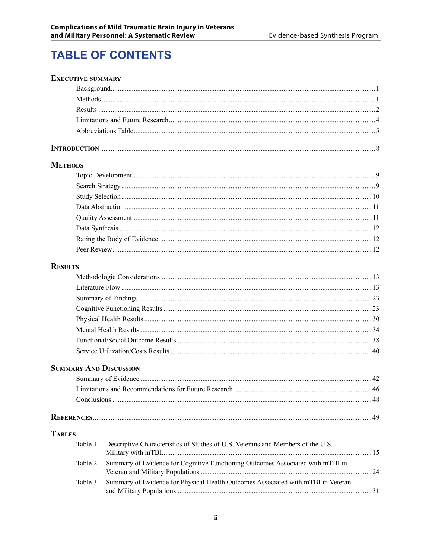# **TABLE OF CONTENTS**

| <b>EXECUTIVE SUMMARY</b>      |                                                                                  |  |
|-------------------------------|----------------------------------------------------------------------------------|--|
|                               |                                                                                  |  |
|                               |                                                                                  |  |
|                               |                                                                                  |  |
|                               |                                                                                  |  |
|                               |                                                                                  |  |
|                               |                                                                                  |  |
| <b>METHODS</b>                |                                                                                  |  |
|                               |                                                                                  |  |
|                               |                                                                                  |  |
|                               |                                                                                  |  |
|                               |                                                                                  |  |
|                               |                                                                                  |  |
|                               |                                                                                  |  |
|                               |                                                                                  |  |
|                               |                                                                                  |  |
| <b>RESULTS</b>                |                                                                                  |  |
|                               |                                                                                  |  |
|                               |                                                                                  |  |
|                               |                                                                                  |  |
|                               |                                                                                  |  |
|                               |                                                                                  |  |
|                               |                                                                                  |  |
|                               |                                                                                  |  |
|                               |                                                                                  |  |
| <b>SUMMARY AND DISCUSSION</b> |                                                                                  |  |
|                               |                                                                                  |  |
|                               |                                                                                  |  |
|                               |                                                                                  |  |
|                               |                                                                                  |  |
| <b>TABLES</b>                 |                                                                                  |  |
| Table 1.                      | Descriptive Characteristics of Studies of U.S. Veterans and Members of the U.S.  |  |
| Table 2.                      | Summary of Evidence for Cognitive Functioning Outcomes Associated with mTBI in   |  |
| Table 3.                      | Summary of Evidence for Physical Health Outcomes Associated with mTBI in Veteran |  |
|                               |                                                                                  |  |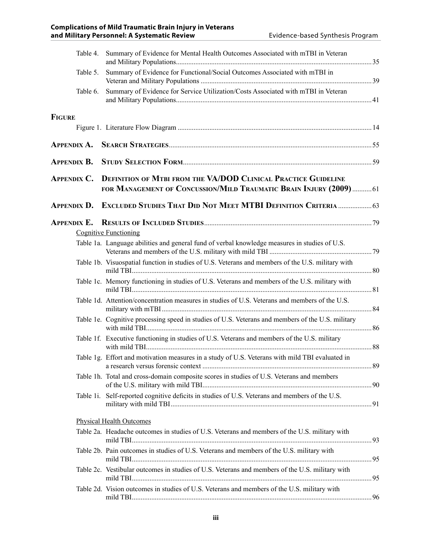#### **Complications of Mild Traumatic Brain Injury in Veterans and Military Personnel: A Systematic Review** Evidence-based Synthesis Program

| Table 4.      | Summary of Evidence for Mental Health Outcomes Associated with mTBI in Veteran                                                               |  |
|---------------|----------------------------------------------------------------------------------------------------------------------------------------------|--|
| Table 5.      | Summary of Evidence for Functional/Social Outcomes Associated with mTBI in                                                                   |  |
| Table 6.      | Summary of Evidence for Service Utilization/Costs Associated with mTBI in Veteran                                                            |  |
| <b>FIGURE</b> |                                                                                                                                              |  |
|               |                                                                                                                                              |  |
|               |                                                                                                                                              |  |
| APPENDIX B.   |                                                                                                                                              |  |
| APPENDIX C.   | <b>DEFINITION OF MTBI FROM THE VA/DOD CLINICAL PRACTICE GUIDELINE</b><br>FOR MANAGEMENT OF CONCUSSION/MILD TRAUMATIC BRAIN INJURY (2009)  61 |  |
|               | APPENDIX D. EXCLUDED STUDIES THAT DID NOT MEET MTBI DEFINITION CRITERIA  63                                                                  |  |
|               |                                                                                                                                              |  |
|               | <b>Cognitive Functioning</b>                                                                                                                 |  |
|               | Table 1a. Language abilities and general fund of verbal knowledge measures in studies of U.S.                                                |  |
|               | Table 1b. Visuospatial function in studies of U.S. Veterans and members of the U.S. military with                                            |  |
|               | Table 1c. Memory functioning in studies of U.S. Veterans and members of the U.S. military with                                               |  |
|               | Table 1d. Attention/concentration measures in studies of U.S. Veterans and members of the U.S.                                               |  |
|               | Table 1e. Cognitive processing speed in studies of U.S. Veterans and members of the U.S. military                                            |  |
|               | Table 1f. Executive functioning in studies of U.S. Veterans and members of the U.S. military                                                 |  |
|               | Table 1g. Effort and motivation measures in a study of U.S. Veterans with mild TBI evaluated in                                              |  |
|               | Table 1h. Total and cross-domain composite scores in studies of U.S. Veterans and members                                                    |  |
|               | Table 1i. Self-reported cognitive deficits in studies of U.S. Veterans and members of the U.S.                                               |  |
|               | <b>Physical Health Outcomes</b>                                                                                                              |  |
|               | Table 2a. Headache outcomes in studies of U.S. Veterans and members of the U.S. military with                                                |  |
|               | Table 2b. Pain outcomes in studies of U.S. Veterans and members of the U.S. military with                                                    |  |
|               | Table 2c. Vestibular outcomes in studies of U.S. Veterans and members of the U.S. military with                                              |  |
|               | Table 2d. Vision outcomes in studies of U.S. Veterans and members of the U.S. military with                                                  |  |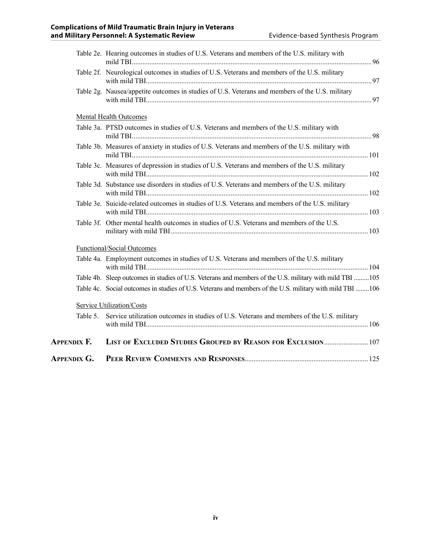#### **Complications of Mild Traumatic Brain Injury in Veterans and Military Personnel: A Systematic Review** Evidence-based Synthesis Program

| APPENDIX G. |                                                                                                          |  |
|-------------|----------------------------------------------------------------------------------------------------------|--|
| Appendix F. | LIST OF EXCLUDED STUDIES GROUPED BY REASON FOR EXCLUSION 107                                             |  |
| Table 5.    | Service utilization outcomes in studies of U.S. Veterans and members of the U.S. military                |  |
|             | Service Utilization/Costs                                                                                |  |
|             | Table 4c. Social outcomes in studies of U.S. Veterans and members of the U.S. military with mild TBI 106 |  |
|             | Table 4b. Sleep outcomes in studies of U.S. Veterans and members of the U.S. military with mild TBI 105  |  |
|             | Table 4a. Employment outcomes in studies of U.S. Veterans and members of the U.S. military               |  |
|             | <b>Functional/Social Outcomes</b>                                                                        |  |
|             | Table 3f. Other mental health outcomes in studies of U.S. Veterans and members of the U.S.               |  |
|             | Table 3e. Suicide-related outcomes in studies of U.S. Veterans and members of the U.S. military          |  |
|             | Table 3d. Substance use disorders in studies of U.S. Veterans and members of the U.S. military           |  |
|             | Table 3c. Measures of depression in studies of U.S. Veterans and members of the U.S. military            |  |
|             | Table 3b. Measures of anxiety in studies of U.S. Veterans and members of the U.S. military with          |  |
|             | Table 3a. PTSD outcomes in studies of U.S. Veterans and members of the U.S. military with                |  |
|             | <b>Mental Health Outcomes</b>                                                                            |  |
|             | Table 2g. Nausea/appetite outcomes in studies of U.S. Veterans and members of the U.S. military          |  |
|             | Table 2f. Neurological outcomes in studies of U.S. Veterans and members of the U.S. military             |  |
|             | Table 2e. Hearing outcomes in studies of U.S. Veterans and members of the U.S. military with             |  |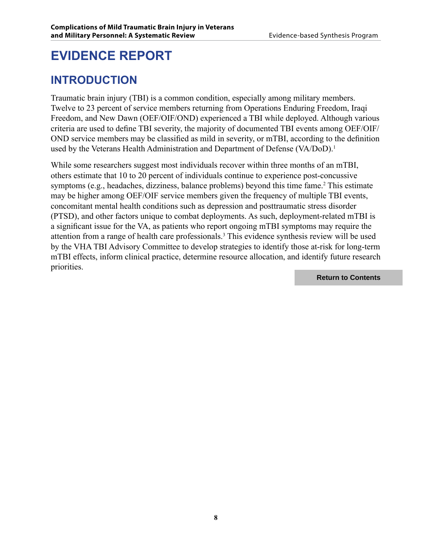# <span id="page-5-0"></span>**EVIDENCE REPORT**

# **INTRODUCTION**

Traumatic brain injury (TBI) is a common condition, especially among military members. Twelve to 23 percent of service members returning from Operations Enduring Freedom, Iraqi Freedom, and New Dawn (OEF/OIF/OND) experienced a TBI while deployed. Although various criteria are used to define TBI severity, the majority of documented TBI events among OEF/OIF/ OND service members may be classified as mild in severity, or mTBI, according to the definition used by the Veterans Health Administration and Department of Defense (VA/DoD).<sup>1</sup>

While some researchers suggest most individuals recover within three months of an mTBI, others estimate that 10 to 20 percent of individuals continue to experience post-concussive symptoms (e.g., headaches, dizziness, balance problems) beyond this time fame.<sup>2</sup> This estimate may be higher among OEF/OIF service members given the frequency of multiple TBI events, concomitant mental health conditions such as depression and posttraumatic stress disorder (PTSD), and other factors unique to combat deployments. As such, deployment-related mTBI is a significant issue for the VA, as patients who report ongoing mTBI symptoms may require the attention from a range of health care professionals.<sup>3</sup> This evidence synthesis review will be used by the VHA TBI Advisory Committee to develop strategies to identify those at-risk for long-term mTBI effects, inform clinical practice, determine resource allocation, and identify future research priorities.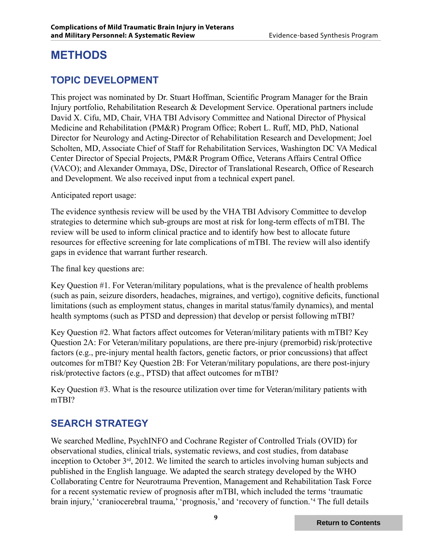# <span id="page-6-0"></span>**METHODS**

# **TOPIC DEVELOPMENT**

This project was nominated by Dr. Stuart Hoffman, Scientific Program Manager for the Brain Injury portfolio, Rehabilitation Research & Development Service. Operational partners include David X. Cifu, MD, Chair, VHA TBI Advisory Committee and National Director of Physical Medicine and Rehabilitation (PM&R) Program Office; Robert L. Ruff, MD, PhD, National Director for Neurology and Acting-Director of Rehabilitation Research and Development; Joel Scholten, MD, Associate Chief of Staff for Rehabilitation Services, Washington DC VA Medical Center Director of Special Projects, PM&R Program Office, Veterans Affairs Central Office (VACO); and Alexander Ommaya, DSc, Director of Translational Research, Office of Research and Development. We also received input from a technical expert panel.

Anticipated report usage:

The evidence synthesis review will be used by the VHA TBI Advisory Committee to develop strategies to determine which sub-groups are most at risk for long-term effects of mTBI. The review will be used to inform clinical practice and to identify how best to allocate future resources for effective screening for late complications of mTBI. The review will also identify gaps in evidence that warrant further research.

The final key questions are:

Key Question #1. For Veteran/military populations, what is the prevalence of health problems (such as pain, seizure disorders, headaches, migraines, and vertigo), cognitive deficits, functional limitations (such as employment status, changes in marital status/family dynamics), and mental health symptoms (such as PTSD and depression) that develop or persist following mTBI?

Key Question #2. What factors affect outcomes for Veteran/military patients with mTBI? Key Question 2A: For Veteran/military populations, are there pre-injury (premorbid) risk/protective factors (e.g., pre-injury mental health factors, genetic factors, or prior concussions) that affect outcomes for mTBI? Key Question 2B: For Veteran/military populations, are there post-injury risk/protective factors (e.g., PTSD) that affect outcomes for mTBI?

Key Question #3. What is the resource utilization over time for Veteran/military patients with mTBI?

# **SEARCH STRATEGY**

We searched Medline, PsychINFO and Cochrane Register of Controlled Trials (OVID) for observational studies, clinical trials, systematic reviews, and cost studies, from database inception to October 3rd, 2012. We limited the search to articles involving human subjects and published in the English language. We adapted the search strategy developed by the WHO Collaborating Centre for Neurotrauma Prevention, Management and Rehabilitation Task Force for a recent systematic review of prognosis after mTBI, which included the terms 'traumatic brain injury,' 'craniocerebral trauma,' 'prognosis,' and 'recovery of function.'<sup>4</sup> The full details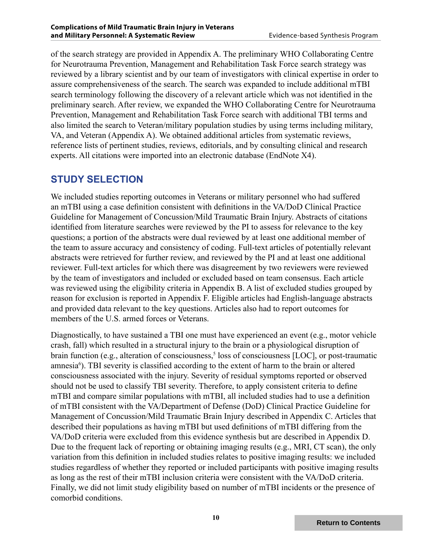<span id="page-7-0"></span>of the search strategy are provided in Appendix A. The preliminary WHO Collaborating Centre for Neurotrauma Prevention, Management and Rehabilitation Task Force search strategy was reviewed by a library scientist and by our team of investigators with clinical expertise in order to assure comprehensiveness of the search. The search was expanded to include additional mTBI search terminology following the discovery of a relevant article which was not identified in the preliminary search. After review, we expanded the WHO Collaborating Centre for Neurotrauma Prevention, Management and Rehabilitation Task Force search with additional TBI terms and also limited the search to Veteran/military population studies by using terms including military, VA, and Veteran (Appendix A). We obtained additional articles from systematic reviews, reference lists of pertinent studies, reviews, editorials, and by consulting clinical and research experts. All citations were imported into an electronic database (EndNote X4).

# **STUDY SELECTION**

We included studies reporting outcomes in Veterans or military personnel who had suffered an mTBI using a case definition consistent with definitions in the VA/DoD Clinical Practice Guideline for Management of Concussion/Mild Traumatic Brain Injury. Abstracts of citations identified from literature searches were reviewed by the PI to assess for relevance to the key questions; a portion of the abstracts were dual reviewed by at least one additional member of the team to assure accuracy and consistency of coding. Full-text articles of potentially relevant abstracts were retrieved for further review, and reviewed by the PI and at least one additional reviewer. Full-text articles for which there was disagreement by two reviewers were reviewed by the team of investigators and included or excluded based on team consensus. Each article was reviewed using the eligibility criteria in Appendix B. A list of excluded studies grouped by reason for exclusion is reported in Appendix F. Eligible articles had English-language abstracts and provided data relevant to the key questions. Articles also had to report outcomes for members of the U.S. armed forces or Veterans.

Diagnostically, to have sustained a TBI one must have experienced an event (e.g., motor vehicle crash, fall) which resulted in a structural injury to the brain or a physiological disruption of brain function (e.g., alteration of consciousness,<sup>5</sup> loss of consciousness [LOC], or post-traumatic amnesia<sup>6</sup>). TBI severity is classified according to the extent of harm to the brain or altered consciousness associated with the injury. Severity of residual symptoms reported or observed should not be used to classify TBI severity. Therefore, to apply consistent criteria to define mTBI and compare similar populations with mTBI, all included studies had to use a definition of mTBI consistent with the VA/Department of Defense (DoD) Clinical Practice Guideline for Management of Concussion/Mild Traumatic Brain Injury described in Appendix C. Articles that described their populations as having mTBI but used definitions of mTBI differing from the VA/DoD criteria were excluded from this evidence synthesis but are described in Appendix D. Due to the frequent lack of reporting or obtaining imaging results (e.g., MRI, CT scan), the only variation from this definition in included studies relates to positive imaging results: we included studies regardless of whether they reported or included participants with positive imaging results as long as the rest of their mTBI inclusion criteria were consistent with the VA/DoD criteria. Finally, we did not limit study eligibility based on number of mTBI incidents or the presence of comorbid conditions.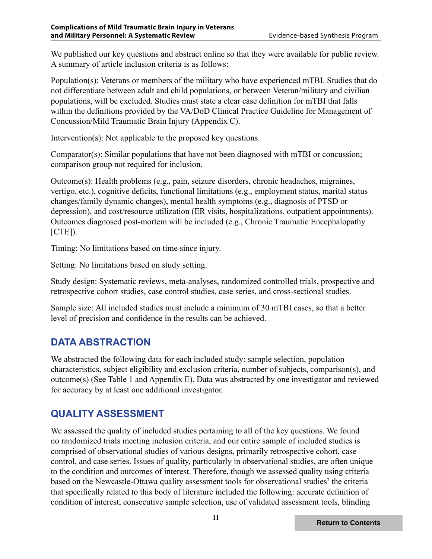<span id="page-8-0"></span>We published our key questions and abstract online so that they were available for public review. A summary of article inclusion criteria is as follows:

Population(s): Veterans or members of the military who have experienced mTBI. Studies that do not differentiate between adult and child populations, or between Veteran/military and civilian populations, will be excluded. Studies must state a clear case definition for mTBI that falls within the definitions provided by the VA/DoD Clinical Practice Guideline for Management of Concussion/Mild Traumatic Brain Injury (Appendix C).

Intervention(s): Not applicable to the proposed key questions.

Comparator(s): Similar populations that have not been diagnosed with mTBI or concussion; comparison group not required for inclusion.

Outcome(s): Health problems (e.g., pain, seizure disorders, chronic headaches, migraines, vertigo, etc.), cognitive deficits, functional limitations (e.g., employment status, marital status changes/family dynamic changes), mental health symptoms (e.g., diagnosis of PTSD or depression), and cost/resource utilization (ER visits, hospitalizations, outpatient appointments). Outcomes diagnosed post-mortem will be included (e.g., Chronic Traumatic Encephalopathy [CTE]).

Timing: No limitations based on time since injury.

Setting: No limitations based on study setting.

Study design: Systematic reviews, meta-analyses, randomized controlled trials, prospective and retrospective cohort studies, case control studies, case series, and cross-sectional studies.

Sample size: All included studies must include a minimum of 30 mTBI cases, so that a better level of precision and confidence in the results can be achieved.

# **DATA ABSTRACTION**

We abstracted the following data for each included study: sample selection, population characteristics, subject eligibility and exclusion criteria, number of subjects, comparison(s), and outcome(s) (See Table 1 and Appendix E). Data was abstracted by one investigator and reviewed for accuracy by at least one additional investigator.

# **QUALITY ASSESSMENT**

We assessed the quality of included studies pertaining to all of the key questions. We found no randomized trials meeting inclusion criteria, and our entire sample of included studies is comprised of observational studies of various designs, primarily retrospective cohort, case control, and case series. Issues of quality, particularly in observational studies, are often unique to the condition and outcomes of interest. Therefore, though we assessed quality using criteria based on the Newcastle-Ottawa quality assessment tools for observational studies<sup>7</sup> the criteria that specifically related to this body of literature included the following: accurate definition of condition of interest, consecutive sample selection, use of validated assessment tools, blinding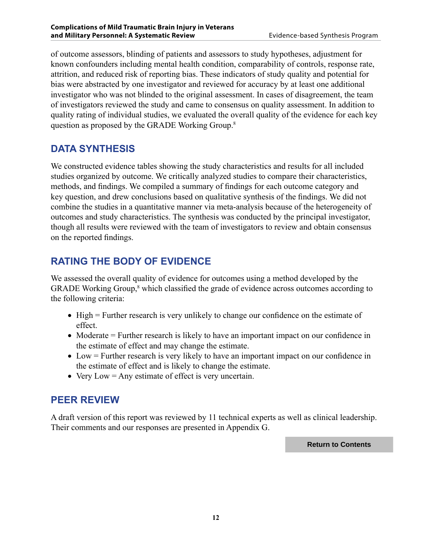<span id="page-9-0"></span>of outcome assessors, blinding of patients and assessors to study hypotheses, adjustment for known confounders including mental health condition, comparability of controls, response rate, attrition, and reduced risk of reporting bias. These indicators of study quality and potential for bias were abstracted by one investigator and reviewed for accuracy by at least one additional investigator who was not blinded to the original assessment. In cases of disagreement, the team of investigators reviewed the study and came to consensus on quality assessment. In addition to quality rating of individual studies, we evaluated the overall quality of the evidence for each key question as proposed by the GRADE Working Group.8

# **DATA SYNTHESIS**

We constructed evidence tables showing the study characteristics and results for all included studies organized by outcome. We critically analyzed studies to compare their characteristics, methods, and findings. We compiled a summary of findings for each outcome category and key question, and drew conclusions based on qualitative synthesis of the findings. We did not combine the studies in a quantitative manner via meta-analysis because of the heterogeneity of outcomes and study characteristics. The synthesis was conducted by the principal investigator, though all results were reviewed with the team of investigators to review and obtain consensus on the reported findings.

# **RATING THE BODY OF EVIDENCE**

We assessed the overall quality of evidence for outcomes using a method developed by the GRADE Working Group,<sup>8</sup> which classified the grade of evidence across outcomes according to the following criteria:

- $\bullet$  High = Further research is very unlikely to change our confidence on the estimate of effect.
- Moderate  $=$  Further research is likely to have an important impact on our confidence in the estimate of effect and may change the estimate.
- Low = Further research is very likely to have an important impact on our confidence in the estimate of effect and is likely to change the estimate.
- Very Low  $=$  Any estimate of effect is very uncertain.

# **PEER REVIEW**

A draft version of this report was reviewed by 11 technical experts as well as clinical leadership. Their comments and our responses are presented in Appendix G.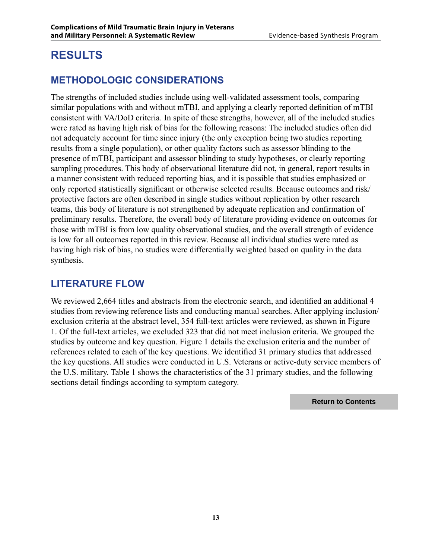# <span id="page-10-0"></span>**RESULTS**

# **METHODOLOGIC CONSIDERATIONS**

The strengths of included studies include using well-validated assessment tools, comparing similar populations with and without mTBI, and applying a clearly reported definition of mTBI consistent with VA/DoD criteria. In spite of these strengths, however, all of the included studies were rated as having high risk of bias for the following reasons: The included studies often did not adequately account for time since injury (the only exception being two studies reporting results from a single population), or other quality factors such as assessor blinding to the presence of mTBI, participant and assessor blinding to study hypotheses, or clearly reporting sampling procedures. This body of observational literature did not, in general, report results in a manner consistent with reduced reporting bias, and it is possible that studies emphasized or only reported statistically significant or otherwise selected results. Because outcomes and risk/ protective factors are often described in single studies without replication by other research teams, this body of literature is not strengthened by adequate replication and confirmation of preliminary results. Therefore, the overall body of literature providing evidence on outcomes for those with mTBI is from low quality observational studies, and the overall strength of evidence is low for all outcomes reported in this review. Because all individual studies were rated as having high risk of bias, no studies were differentially weighted based on quality in the data synthesis.

# **LITERATURE FLOW**

We reviewed 2,664 titles and abstracts from the electronic search, and identified an additional 4 studies from reviewing reference lists and conducting manual searches. After applying inclusion/ exclusion criteria at the abstract level, 354 full-text articles were reviewed, as shown in Figure 1. Of the full-text articles, we excluded 323 that did not meet inclusion criteria. We grouped the studies by outcome and key question. Figure 1 details the exclusion criteria and the number of references related to each of the key questions. We identified 31 primary studies that addressed the key questions. All studies were conducted in U.S. Veterans or active-duty service members of the U.S. military. Table 1 shows the characteristics of the 31 primary studies, and the following sections detail findings according to symptom category.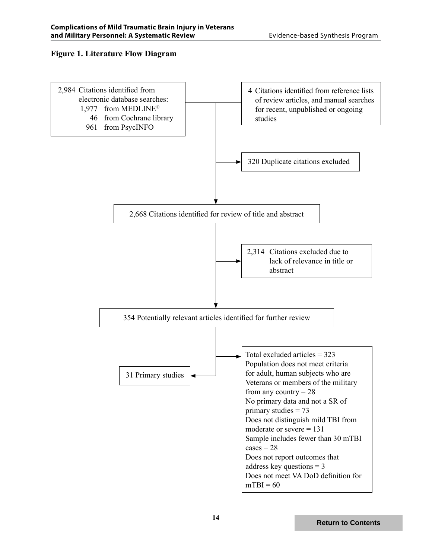#### **Figure 1. Literature Flow Diagram**

<span id="page-11-0"></span>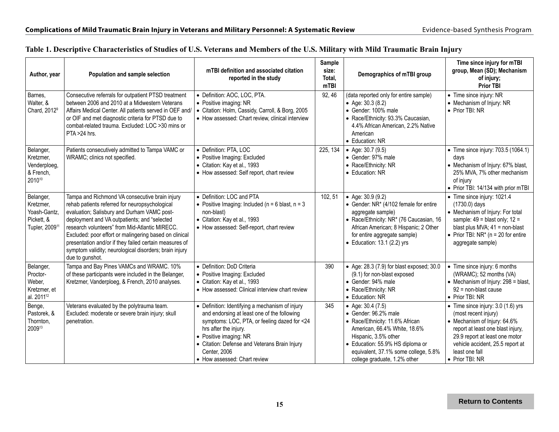| Author, year                                                                       | Population and sample selection                                                                                                                                                                                                                                                                                                                                                                                                                                 | Sample<br>mTBI definition and associated citation<br>size:<br>reported in the study<br>Total,<br>mTBI                                                                                                                                                                                              |          | Demographics of mTBI group                                                                                                                                                                                                                         | Time since injury for mTBI<br>group, Mean (SD); Mechanism<br>of injury;<br><b>Prior TBI</b>                                                                                                                                                  |
|------------------------------------------------------------------------------------|-----------------------------------------------------------------------------------------------------------------------------------------------------------------------------------------------------------------------------------------------------------------------------------------------------------------------------------------------------------------------------------------------------------------------------------------------------------------|----------------------------------------------------------------------------------------------------------------------------------------------------------------------------------------------------------------------------------------------------------------------------------------------------|----------|----------------------------------------------------------------------------------------------------------------------------------------------------------------------------------------------------------------------------------------------------|----------------------------------------------------------------------------------------------------------------------------------------------------------------------------------------------------------------------------------------------|
| Barnes,<br>Walter, &<br>Chard, 2012 <sup>9</sup>                                   | Consecutive referrals for outpatient PTSD treatment<br>· Definition: AOC, LOC, PTA.<br>between 2006 and 2010 at a Midwestern Veterans<br>• Positive imaging: NR<br>Affairs Medical Center. All patients served in OEF and/<br>• Citation: Holm, Cassidy, Carroll, & Borg, 2005<br>• How assessed: Chart review, clinical interview<br>or OIF and met diagnostic criteria for PTSD due to<br>combat-related trauma. Excluded: LOC >30 mins or<br>$PTA > 24$ hrs. |                                                                                                                                                                                                                                                                                                    | 92, 46   | (data reported only for entire sample)<br>• Age: $30.3(8.2)$<br>• Gender: 100% male<br>• Race/Ethnicity: 93.3% Caucasian,<br>4.4% African American, 2.2% Native<br>American<br>• Education: NR                                                     | • Time since injury: NR<br>• Mechanism of Injury: NR<br>• Prior TBI: NR                                                                                                                                                                      |
| Belanger,<br>Kretzmer,<br>Venderploeg,<br>& French,<br>201010                      | Patients consecutively admitted to Tampa VAMC or<br>WRAMC; clinics not specified.                                                                                                                                                                                                                                                                                                                                                                               | • Definition: PTA, LOC<br>• Positive Imaging: Excluded<br>• Citation: Kay et al., 1993<br>• How assessed: Self report, chart review                                                                                                                                                                | 225, 134 | • Age: $30.7(9.5)$<br>• Gender: 97% male<br>• Race/Ethnicity: NR<br>• Education: NR                                                                                                                                                                | • Time since injury: 703.5 (1064.1)<br>days<br>• Mechanism of Injury: 67% blast,<br>25% MVA. 7% other mechanism<br>of injury<br>• Prior TBI: 14/134 with prior mTBI                                                                          |
| Belanger,<br>Kretzmer,<br>Yoash-Gantz.<br>Pickett, &<br>Tupler, 2009 <sup>11</sup> | Tampa and Richmond VA consecutive brain injury<br>rehab patients referred for neuropsychological<br>evaluation; Salisbury and Durham VAMC post-<br>deployment and VA outpatients; and "selected<br>research volunteers" from Mid-Atlantic MIRECC.<br>Excluded: poor effort or malingering based on clinical<br>presentation and/or if they failed certain measures of<br>symptom validity; neurological disorders; brain injury<br>due to gunshot.              | • Definition: LOC and PTA<br>• Positive Imaging: Included ( $n = 6$ blast, $n = 3$<br>non-blast)<br>• Citation: Kay et al., 1993<br>• How assessed: Self-report, chart review                                                                                                                      | 102, 51  | • Age: $30.9(9.2)$<br>• Gender: NR* (4/102 female for entire<br>aggregate sample)<br>• Race/Ethnicity: NR* (76 Caucasian, 16<br>African American; 8 Hispanic; 2 Other<br>for entire aggregate sample)<br>$\bullet$ Education: 13.1 (2.2) yrs       | • Time since injury: 1021.4<br>(1730.0) days<br>• Mechanism of Injury: For total<br>sample: $49 =$ blast only; $12 =$<br>blast plus MVA; 41 = non-blast<br>• Prior TBI: $NR^*$ (n = 20 for entire<br>aggregate sample)                       |
| Belanger,<br>Proctor-<br>Weber,<br>Kretzmer, et<br>al. 2011 <sup>12</sup>          | Tampa and Bay Pines VAMCs and WRAMC. 10%<br>of these participants were included in the Belanger,<br>Kretzmer, Vanderploeg, & French, 2010 analyses.                                                                                                                                                                                                                                                                                                             | • Definition: DoD Criteria<br>• Positive Imaging: Excluded<br>• Citation: Kay et al., 1993<br>• How assessed: Clinical interview chart review                                                                                                                                                      | 390      | • Age: 28.3 (7.9) for blast exposed; 30.0<br>(9.1) for non-blast exposed<br>• Gender: 94% male<br>• Race/Ethnicity: NR<br>• Education: NR                                                                                                          | • Time since injury: 6 months<br>(WRAMC); 52 months (VA)<br>• Mechanism of Injury: 298 = blast,<br>92 = non-blast cause<br>• Prior TBI: NR                                                                                                   |
| Benge,<br>Pastorek, &<br>Thornton,<br>200913                                       | Veterans evaluated by the polytrauma team.<br>Excluded: moderate or severe brain injury; skull<br>penetration.                                                                                                                                                                                                                                                                                                                                                  | • Definition: Identifying a mechanism of injury<br>and endorsing at least one of the following<br>symptoms: LOC, PTA, or feeling dazed for <24<br>hrs after the injury.<br>• Positive imaging: NR<br>• Citation: Defense and Veterans Brain Injury<br>Center, 2006<br>• How assessed: Chart review | 345      | • Age: $30.4$ (7.5)<br>• Gender: 96.2% male<br>• Race/Ethnicity: 11.6% African<br>American, 66.4% White, 18.6%<br>Hispanic, 3.5% other<br>· Education: 55.9% HS diploma or<br>equivalent, 37.1% some college, 5.8%<br>college graduate, 1.2% other | • Time since injury: $3.0$ (1.6) yrs<br>(most recent injury)<br>• Mechanism of Injury: 64.6%<br>report at least one blast injury,<br>29.9 report at least one motor<br>vehicle accident, 25.5 report at<br>least one fall<br>• Prior TBI: NR |

#### <span id="page-12-0"></span>**Table 1. Descriptive Characteristics of Studies of U.S. Veterans and Members of the U.S. Military with Mild Traumatic Brain Injury**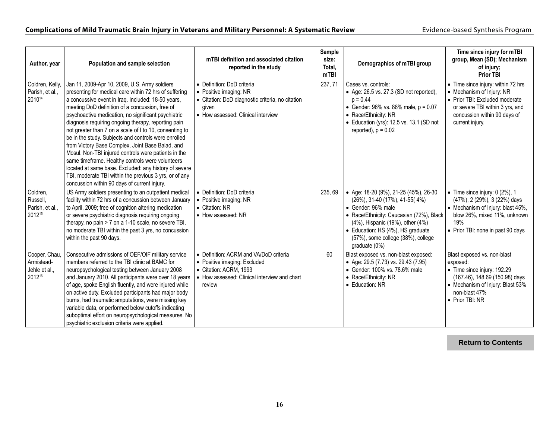| Author, year                                           | Population and sample selection                                                                                                                                                                                                                                                                                                                                                                                                                                                                                                                                                                                                                                                                                                                                                      | mTBI definition and associated citation<br>reported in the study                                                                                           | Sample<br>size:<br>Total,<br>mTBI | Demographics of mTBI group                                                                                                                                                                                                                                                   | Time since injury for mTBI<br>group, Mean (SD); Mechanism<br>of injury;<br><b>Prior TBI</b>                                                                                             |
|--------------------------------------------------------|--------------------------------------------------------------------------------------------------------------------------------------------------------------------------------------------------------------------------------------------------------------------------------------------------------------------------------------------------------------------------------------------------------------------------------------------------------------------------------------------------------------------------------------------------------------------------------------------------------------------------------------------------------------------------------------------------------------------------------------------------------------------------------------|------------------------------------------------------------------------------------------------------------------------------------------------------------|-----------------------------------|------------------------------------------------------------------------------------------------------------------------------------------------------------------------------------------------------------------------------------------------------------------------------|-----------------------------------------------------------------------------------------------------------------------------------------------------------------------------------------|
| Coldren, Kelly,<br>Parish, et al.,<br>201014           | Jan 11, 2009-Apr 10, 2009, U.S. Army soldiers<br>presenting for medical care within 72 hrs of suffering<br>a concussive event in Iraq. Included: 18-50 years,<br>meeting DoD definition of a concussion, free of<br>psychoactive medication, no significant psychiatric<br>diagnosis requiring ongoing therapy, reporting pain<br>not greater than 7 on a scale of I to 10, consenting to<br>be in the study. Subjects and controls were enrolled<br>from Victory Base Complex, Joint Base Balad, and<br>Mosul. Non-TBI injured controls were patients in the<br>same timeframe. Healthy controls were volunteers<br>located at same base. Excluded: any history of severe<br>TBI, moderate TBI within the previous 3 yrs, or of any<br>concussion within 90 days of current injury. | • Definition: DoD criteria<br>• Positive imaging: NR<br>· Citation: DoD diagnostic criteria, no citation<br>qiven<br>• How assessed: Clinical interview    | 237, 71                           | Cases vs. controls:<br>$\bullet$ Age: 26.5 vs. 27.3 (SD not reported),<br>$p = 0.44$<br>• Gender: $96\%$ vs. $88\%$ male, $p = 0.07$<br>• Race/Ethnicity: NR<br>• Education (yrs): 12.5 vs. 13.1 (SD not<br>reported), $p = 0.02$                                            | • Time since injury: within 72 hrs<br>• Mechanism of Injury: NR<br>• Prior TBI: Excluded moderate<br>or severe TBI within 3 yrs, and<br>concussion within 90 days of<br>current injury. |
| Coldren,<br>Russell,<br>Parish, et al.,<br>201215      | US Army soldiers presenting to an outpatient medical<br>facility within 72 hrs of a concussion between January<br>to April, 2009; free of cognition altering medication<br>or severe psychiatric diagnosis requiring ongoing<br>therapy, no pain > 7 on a 1-10 scale, no severe TBI,<br>no moderate TBI within the past 3 yrs, no concussion<br>within the past 90 days.                                                                                                                                                                                                                                                                                                                                                                                                             | · Definition: DoD criteria<br>• Positive imaging: NR<br>• Citation: NR<br>• How assessed: NR                                                               | 235, 69                           | • Age: 18-20 (9%), 21-25 (45%), 26-30<br>$(26\%)$ , 31-40 (17%), 41-55(4%)<br>• Gender: 96% male<br>• Race/Ethnicity: Caucasian (72%), Black<br>(4%), Hispanic (19%), other (4%)<br>• Education: HS (4%), HS graduate<br>(57%), some college (38%), college<br>graduate (0%) | • Time since injury: $0$ (2%), 1<br>(47%), 2 (29%), 3 (22%) days<br>• Mechanism of Injury: blast 45%,<br>blow 26%, mixed 11%, unknown<br>19%<br>• Prior TBI: none in past 90 days       |
| Cooper, Chau,<br>Armistead-<br>Jehle et al.,<br>201216 | Consecutive admissions of OEF/OIF military service<br>members referred to the TBI clinic at BAMC for<br>neuropsychological testing between January 2008<br>and January 2010. All participants were over 18 years<br>of age, spoke English fluently, and were injured while<br>on active duty. Excluded participants had major body<br>burns, had traumatic amputations, were missing key<br>variable data, or performed below cutoffs indicating<br>suboptimal effort on neuropsychological measures. No<br>psychiatric exclusion criteria were applied.                                                                                                                                                                                                                             | • Definition: ACRM and VA/DoD criteria<br>• Positive imaging: Excluded<br>• Citation: ACRM, 1993<br>• How assessed: Clinical interview and chart<br>review | 60                                | Blast exposed vs. non-blast exposed:<br>• Age: 29.5 (7.73) vs. 29.43 (7.95)<br>• Gender: 100% vs. 78.6% male<br>• Race/Ethnicity: NR<br>• Education: NR                                                                                                                      | Blast exposed vs. non-blast<br>exposed:<br>• Time since injury: 192.29<br>(167.46), 148.69 (150.98) days<br>• Mechanism of Injury: Blast 53%<br>non-blast 47%<br>• Prior TBI: NR        |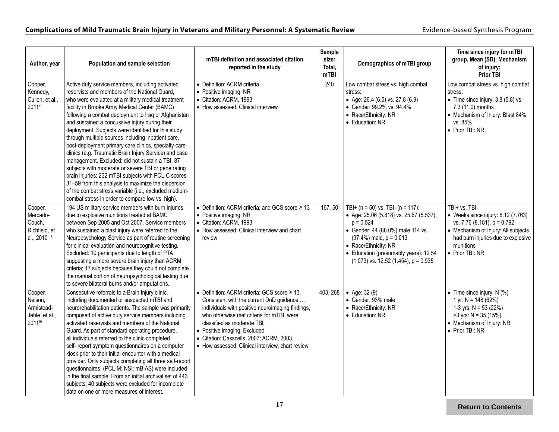| Author, year                                                              | Population and sample selection                                                                                                                                                                                                                                                                                                                                                                                                                                                                                                                                                                                                                                                                                                                                                                                                                                                        | Sample<br>mTBI definition and associated citation<br>reported in the study                                                                                                                                                                                                                                                                                   |          | Demographics of mTBI group                                                                                                                                                                                                                                                             | Time since injury for mTBI<br>group, Mean (SD); Mechanism<br>of injury;<br><b>Prior TBI</b>                                                                                                       |
|---------------------------------------------------------------------------|----------------------------------------------------------------------------------------------------------------------------------------------------------------------------------------------------------------------------------------------------------------------------------------------------------------------------------------------------------------------------------------------------------------------------------------------------------------------------------------------------------------------------------------------------------------------------------------------------------------------------------------------------------------------------------------------------------------------------------------------------------------------------------------------------------------------------------------------------------------------------------------|--------------------------------------------------------------------------------------------------------------------------------------------------------------------------------------------------------------------------------------------------------------------------------------------------------------------------------------------------------------|----------|----------------------------------------------------------------------------------------------------------------------------------------------------------------------------------------------------------------------------------------------------------------------------------------|---------------------------------------------------------------------------------------------------------------------------------------------------------------------------------------------------|
| Cooper,<br>Kennedy,<br>Cullen, et al.,<br>201117                          | Active duty service members, including activated<br>reservists and members of the National Guard,<br>who were evaluated at a military medical treatment<br>facility in Brooke Army Medical Center (BAMC)<br>following a combat deployment to Iraq or Afghanistan<br>and sustained a concussive injury during their<br>deployment. Subjects were identified for this study<br>through multiple sources including inpatient care,<br>post-deployment primary care clinics, specialty care<br>clinics (e.g. Traumatic Brain Injury Service) and case<br>management. Excluded: did not sustain a TBI, 87<br>subjects with moderate or severe TBI or penetrating<br>brain injuries; 232 mTBI subjects with PCL-C scores<br>31-59 from this analysis to maximize the dispersion<br>of the combat stress variable (i.e., excluded medium-<br>combat stress in order to compare low vs. high). | · Definition: ACRM criteria.<br>• Positive imaging: NR<br>• Citation: ACRM, 1993<br>• How assessed: Clinical interview                                                                                                                                                                                                                                       |          | Low combat stress vs. high combat<br>stress:<br>• Age: 26.4 (6.5) vs. 27.8 (6.9)<br>• Gender: 99.2% vs. 94.4%<br>• Race/Ethnicity: NR<br>• Education: NR                                                                                                                               | Low combat stress vs. high combat<br>stress:<br>• Time since injury: $3.8$ (5.8) vs.<br>7.3 (11.0) months<br>• Mechanism of Injury: Blast 84%<br>vs. 85%<br>• Prior TBI: NR                       |
| Cooper,<br>Mercado-<br>Couch,<br>Richfield, et<br>al., 2010 <sup>18</sup> | 194 US military service members with burn injuries<br>due to explosive munitions treated at BAMC<br>between Sep 2005 and Oct 2007. Service members<br>who sustained a blast injury were referred to the<br>Neuropsychology Service as part of routine screening<br>for clinical evaluation and neurocognitive testing.<br>Excluded: 10 participants due to length of PTA<br>suggesting a more severe brain injury than ACRM<br>criteria; 17 subjects because they could not complete<br>the manual portion of neuropsychological testing due<br>to severe bilateral burns and/or amputations.                                                                                                                                                                                                                                                                                          | • Definition: ACRM criteria; and GCS score $\geq 13$<br>• Positive imaging: NR<br>· Citation: ACRM, 1993<br>• How assessed: Clinical interview and chart<br>review                                                                                                                                                                                           | 167, 50  | TBI+ ( $n = 50$ ) vs. TBI- ( $n = 117$ ):<br>• Age: 25.06 (5.818) vs. 25.67 (5.537),<br>$p = 0.524$<br>• Gender: 44 (88.0%) male 114 vs.<br>$(97.4\%)$ male, $p = 0.013$<br>• Race/Ethnicity: NR<br>• Education (presumably years): 12.54<br>$(1.073)$ vs. 12.52 $(1.454)$ , p = 0.935 | TBI+ vs. TBI-<br>• Weeks since injury: $8.12$ (7.763)<br>vs. 7.76 (8.181), p = 0.792<br>• Mechanism of Injury: All subjects<br>had burn injuries due to explosive<br>munitions<br>• Prior TBI: NR |
| Cooper,<br>Nelson,<br>Armistead-<br>Jehle, et al.,<br>201119              | Consecutive referrals to a Brain Injury clinic,<br>including documented or suspected mTBI and<br>neurorehabilitation patients. The sample was primarily<br>composed of active duty service members including<br>activated reservists and members of the National<br>Guard. As part of standard operating procedure,<br>all individuals referred to the clinic completed<br>self- report symptom questionnaires on a computer<br>kiosk prior to their initial encounter with a medical<br>provider. Only subjects completing all three self-report<br>questionnaires. (PCL-M; NSI; mBIAS) were included<br>in the final sample. From an initial archival set of 443<br>subjects, 40 subjects were excluded for incomplete<br>data on one or more measures of interest.                                                                                                                  | • Definition: ACRM criteria; GCS score $\geq$ 13.<br>Consistent with the current DoD guidance<br>individuals with positive neuroimaging findings,<br>who otherwise met criteria for mTBI, were<br>classified as moderate TBI.<br>• Positive imaging: Excluded<br>· Citation: Casscells, 2007; ACRM, 2003<br>• How assessed: Clinical interview, chart review | 403, 268 | • Age: $32(9)$<br>• Gender: 93% male<br>• Race/Ethnicity: NR<br>• Education: NR                                                                                                                                                                                                        | • Time since injury: $N$ (%)<br>1 yr: $N = 148(62%)$<br>1-3 yrs: $N = 53 (22%)$<br>$>3$ yrs: N = 35 (15%)<br>• Mechanism of Injury: NR<br>• Prior TBI: NR                                         |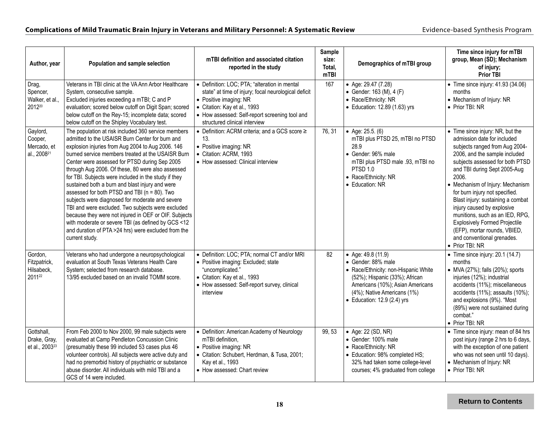| Author, year                                                  | Population and sample selection                                                                                                                                                                                                                                                                                                                                                                                                                                                                                                                                                                                                                                                                                                                                                   | Sample<br>mTBI definition and associated citation<br>size:<br>reported in the study<br>Total,<br>mTBI                                                                                                                                              |        | Demographics of mTBI group                                                                                                                                                                                                    | Time since injury for mTBI<br>group, Mean (SD); Mechanism<br>of injury;<br><b>Prior TBI</b>                                                                                                                                                                                                                                                                                                                                                                                                                         |
|---------------------------------------------------------------|-----------------------------------------------------------------------------------------------------------------------------------------------------------------------------------------------------------------------------------------------------------------------------------------------------------------------------------------------------------------------------------------------------------------------------------------------------------------------------------------------------------------------------------------------------------------------------------------------------------------------------------------------------------------------------------------------------------------------------------------------------------------------------------|----------------------------------------------------------------------------------------------------------------------------------------------------------------------------------------------------------------------------------------------------|--------|-------------------------------------------------------------------------------------------------------------------------------------------------------------------------------------------------------------------------------|---------------------------------------------------------------------------------------------------------------------------------------------------------------------------------------------------------------------------------------------------------------------------------------------------------------------------------------------------------------------------------------------------------------------------------------------------------------------------------------------------------------------|
| Drag,<br>Spencer,<br>Walker, et al.,<br>2012 <sup>20</sup>    | Veterans in TBI clinic at the VA Ann Arbor Healthcare<br>System, consecutive sample.<br>Excluded injuries exceeding a mTBI; C and P<br>evaluation; scored below cutoff on Digit Span; scored<br>below cutoff on the Rey-15; incomplete data; scored<br>below cutoff on the Shipley Vocabulary test.                                                                                                                                                                                                                                                                                                                                                                                                                                                                               | · Definition: LOC; PTA; "alteration in mental<br>state" at time of injury; focal neurological deficit<br>• Positive imaging: NR<br>• Citation: Kay et al., 1993<br>• How assessed: Self-report screening tool and<br>structured clinical interview |        | • Age: 29.47 (7.28)<br>• Gender: 163 (M), $4(F)$<br>• Race/Ethnicity: NR<br>• Education: 12.89 (1.63) yrs                                                                                                                     | $\bullet$ Time since injury: 41.93 (34.06)<br>months<br>• Mechanism of Injury: NR<br>• Prior TBI: NR                                                                                                                                                                                                                                                                                                                                                                                                                |
| Gaylord,<br>Cooper,<br>Mercado, et<br>al., 2008 <sup>21</sup> | The population at risk included 360 service members<br>admitted to the USAISR Burn Center for burn and<br>explosion injuries from Aug 2004 to Aug 2006. 146<br>burned service members treated at the USAISR Burn<br>Center were assessed for PTSD during Sep 2005<br>through Aug 2006. Of these, 80 were also assessed<br>for TBI. Subjects were included in the study if they<br>sustained both a burn and blast injury and were<br>assessed for both PTSD and TBI (n = 80). Two<br>subjects were diagnosed for moderate and severe<br>TBI and were excluded. Two subjects were excluded<br>because they were not injured in OEF or OIF. Subjects<br>with moderate or severe TBI (as defined by GCS <12<br>and duration of PTA >24 hrs) were excluded from the<br>current study. | • Definition: ACRM criteria; and a GCS score $\geq$<br>13.<br>• Positive imaging: NR<br>• Citation: ACRM, 1993<br>• How assessed: Clinical interview                                                                                               |        | • Age: $25.5. (6)$<br>mTBI plus PTSD 25, mTBI no PTSD<br>28.9<br>• Gender: 96% male<br>mTBI plus PTSD male .93, mTBI no<br>PTSD 1.0<br>• Race/Ethnicity: NR<br>• Education: NR                                                | • Time since injury: NR, but the<br>admission date for included<br>subjects ranged from Aug 2004-<br>2006, and the sample included<br>subjects assessed for both PTSD<br>and TBI during Sept 2005-Aug<br>2006.<br>• Mechanism of Injury: Mechanism<br>for burn injury not specified.<br>Blast injury: sustaining a combat<br>injury caused by explosive<br>munitions, such as an IED, RPG,<br><b>Explosively Formed Projectile</b><br>(EFP), mortar rounds, VBIED,<br>and conventional grenades.<br>• Prior TBI: NR |
| Gordon,<br>Fitzpatrick,<br>Hilsabeck,<br>201122               | Veterans who had undergone a neuropsychological<br>evaluation at South Texas Veterans Health Care<br>System; selected from research database.<br>13/95 excluded based on an invalid TOMM score.                                                                                                                                                                                                                                                                                                                                                                                                                                                                                                                                                                                   | • Definition: LOC; PTA; normal CT and/or MRI<br>· Positive imaging: Excluded; state<br>"uncomplicated."<br>• Citation: Kay et al., 1993<br>• How assessed: Self-report survey, clinical<br>interview                                               | 82     | • Age: $49.8(11.9)$<br>• Gender: 88% male<br>• Race/Ethnicity: non-Hispanic White<br>(52%); Hispanic (33%); African<br>Americans (10%); Asian Americans<br>(4%); Native Americans (1%)<br>$\bullet$ Education: 12.9 (2.4) yrs | • Time since injury: $20.1$ (14.7)<br>months<br>• MVA (27%); falls (20%); sports<br>injuries (12%); industrial<br>accidents (11%); miscellaneous<br>accidents (11%); assaults (10%);<br>and explosions (9%). "Most<br>(89%) were not sustained during<br>combat."<br>• Prior TBI: NR                                                                                                                                                                                                                                |
| Gottshall,<br>Drake, Gray,<br>et al., 2003 <sup>23</sup>      | From Feb 2000 to Nov 2000, 99 male subjects were<br>evaluated at Camp Pendleton Concussion Clinic<br>(presumably these 99 included 53 cases plus 46<br>volunteer controls). All subjects were active duty and<br>had no premorbid history of psychiatric or substance<br>abuse disorder. All individuals with mild TBI and a<br>GCS of 14 were included.                                                                                                                                                                                                                                                                                                                                                                                                                          | • Definition: American Academy of Neurology<br>mTBI definition,<br>• Positive imaging: NR<br>· Citation: Schubert, Herdman, & Tusa, 2001;<br>Kay et al., 1993<br>• How assessed: Chart review                                                      | 99, 53 | • Age: 22 (SD, NR)<br>• Gender: 100% male<br>• Race/Ethnicity: NR<br>• Education: 98% completed HS;<br>32% had taken some college-level<br>courses; 4% graduated from college                                                 | • Time since injury: mean of 84 hrs<br>post injury (range 2 hrs to 6 days,<br>with the exception of one patient<br>who was not seen until 10 days).<br>• Mechanism of Injury: NR<br>• Prior TBI: NR                                                                                                                                                                                                                                                                                                                 |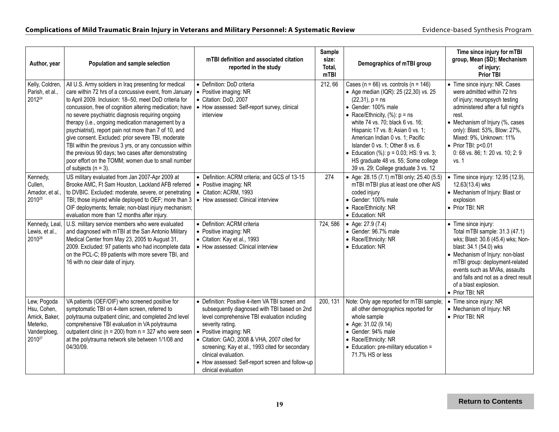| Author, year                                                                                  | Population and sample selection                                                                                                                                                                                                                                                                                                                                                                                                                                                                                                                                                                                                                                                                                 | Sample<br>mTBI definition and associated citation<br>reported in the study                                                                                                                                                                                                                                                                                                                         |          | Demographics of mTBI group                                                                                                                                                                                                                                                                                                                                                                                                                             | Time since injury for mTBI<br>group, Mean (SD); Mechanism<br>of injury;<br><b>Prior TBI</b>                                                                                                                                                                                                                          |
|-----------------------------------------------------------------------------------------------|-----------------------------------------------------------------------------------------------------------------------------------------------------------------------------------------------------------------------------------------------------------------------------------------------------------------------------------------------------------------------------------------------------------------------------------------------------------------------------------------------------------------------------------------------------------------------------------------------------------------------------------------------------------------------------------------------------------------|----------------------------------------------------------------------------------------------------------------------------------------------------------------------------------------------------------------------------------------------------------------------------------------------------------------------------------------------------------------------------------------------------|----------|--------------------------------------------------------------------------------------------------------------------------------------------------------------------------------------------------------------------------------------------------------------------------------------------------------------------------------------------------------------------------------------------------------------------------------------------------------|----------------------------------------------------------------------------------------------------------------------------------------------------------------------------------------------------------------------------------------------------------------------------------------------------------------------|
| Kelly, Coldren,<br>Parish, et al.,<br>2012 <sup>24</sup>                                      | All U.S. Army soldiers in Iraq presenting for medical<br>care within 72 hrs of a concussive event, from January<br>to April 2009. Inclusion: 18-50, meet DoD criteria for<br>concussion, free of cognition altering medication; have   • How assessed: Self-report survey, clinical<br>no severe psychiatric diagnosis requiring ongoing<br>therapy (i.e., ongoing medication management by a<br>psychiatrist), report pain not more than 7 of 10, and<br>give consent. Excluded: prior severe TBI, moderate<br>TBI within the previous 3 yrs, or any concussion within<br>the previous 90 days; two cases after demonstrating<br>poor effort on the TOMM; women due to small number<br>of subjects $(n = 3)$ . | · Definition: DoD criteria<br>• Positive imaging: NR<br>• Citation: DoD, 2007<br>interview                                                                                                                                                                                                                                                                                                         | 212,66   | Cases ( $n = 66$ ) vs. controls ( $n = 146$ )<br>• Age median (IQR): 25 (22,30) vs. 25<br>$(22,31)$ , $p = ns$<br>• Gender: 100% male<br>• Race/Ethnicity, $(\%): p = ns$<br>white 74 vs. 70; black 6 vs. 16;<br>Hispanic 17 vs. 8; Asian 0 vs. 1;<br>American Indian 0 vs. 1; Pacific<br>Islander 0 vs. 1; Other 8 vs. 6<br>• Education (%): $p = 0.03$ ; HS: 9 vs. 3;<br>HS graduate 48 vs. 55; Some college<br>39 vs. 29; College graduate 3 vs. 12 | • Time since injury: NR. Cases<br>were admitted within 72 hrs<br>of injury; neuropsych testing<br>administered after a full night's<br>rest.<br>• Mechanism of Injury (%, cases<br>only): Blast: 53%, Blow: 27%,<br>Mixed: 9%, Unknown: 11%<br>$\bullet$ Prior TBI: p<0.01<br>0:68 vs. 86; 1:20 vs. 10; 2:9<br>vs. 1 |
| Kennedy,<br>Cullen,<br>Amador, et al.<br>2010 <sup>25</sup>                                   | US military evaluated from Jan 2007-Apr 2009 at<br>Brooke AMC, Ft Sam Houston, Lackland AFB referred<br>to DVBIC. Excluded: moderate, severe, or penetrating<br>TBI; those injured while deployed to OEF; more than $3 \mid \bullet$ How assessed: Clinical interview<br>OIF deployments; female; non-blast injury mechanism;<br>evaluation more than 12 months after injury.                                                                                                                                                                                                                                                                                                                                   | • Definition: ACRM criteria; and GCS of 13-15<br>• Positive imaging: NR<br>• Citation: ACRM, 1993                                                                                                                                                                                                                                                                                                  | 274      | • Age: 28.15 (7.1) mTBI only; 25.40 (5.5)<br>mTBI mTBI plus at least one other AIS<br>coded injury<br>• Gender: 100% male<br>• Race/Ethnicity: NR<br>• Education: NR                                                                                                                                                                                                                                                                                   | $\bullet$ Time since injury: 12.95 (12.9),<br>12.63(13.4) wks<br>• Mechanism of Injury: Blast or<br>explosion<br>• Prior TBI: NR                                                                                                                                                                                     |
| Kennedy, Leal<br>Lewis, et al.,<br>2010 <sup>26</sup>                                         | U.S. military service members who were evaluated<br>and diagnosed with mTBI at the San Antonio Military<br>Medical Center from May 23, 2005 to August 31,<br>2009. Excluded: 97 patients who had incomplete data<br>on the PCL-C; 89 patients with more severe TBI, and<br>16 with no clear date of injury.                                                                                                                                                                                                                                                                                                                                                                                                     | • Definition: ACRM criteria<br>• Positive imaging: NR<br>• Citation: Kay et al., 1993<br>• How assessed: Clinical interview                                                                                                                                                                                                                                                                        | 724, 586 | • Age: $27.9(7.4)$<br>• Gender: 96.7% male<br>• Race/Ethnicity: NR<br>• Education: NR                                                                                                                                                                                                                                                                                                                                                                  | • Time since injury:<br>Total mTBI sample: 31.3 (47.1)<br>wks; Blast: 30.6 (45.4) wks; Non-<br>blast: 34.1 (54.0) wks<br>• Mechanism of Injury: non-blast<br>mTBI group: deployment-related<br>events such as MVAs, assaults<br>and falls and not as a direct result<br>of a blast explosion.<br>• Prior TBI: NR     |
| Lew, Pogoda<br>Hsu, Cohen,<br>Amick, Baker,<br>Meterko.<br>Vanderploeg,<br>2010 <sup>27</sup> | VA patients (OEF/OIF) who screened positive for<br>symptomatic TBI on 4-item screen, referred to<br>polytrauma outpatient clinic, and completed 2nd level<br>comprehensive TBI evaluation in VA polytrauma<br>outpatient clinic ( $n = 200$ ) from $n = 327$ who were seen<br>at the polytrauma network site between 1/1/08 and<br>04/30/09.                                                                                                                                                                                                                                                                                                                                                                    | • Definition: Positive 4-item VA TBI screen and<br>subsequently diagnosed with TBI based on 2nd<br>level comprehensive TBI evaluation including<br>severity rating.<br>• Positive imaging: NR<br>• Citation: GAO, 2008 & VHA, 2007 cited for<br>screening; Kay et al., 1993 cited for secondary<br>clinical evaluation.<br>• How assessed: Self-report screen and follow-up<br>clinical evaluation | 200, 131 | Note: Only age reported for mTBI sample;<br>all other demographics reported for<br>whole sample<br>• Age: $31.02(9.14)$<br>• Gender: 94% male<br>• Race/Ethnicity: NR<br>• Education: pre-military education =<br>71.7% HS or less                                                                                                                                                                                                                     | • Time since injury: NR<br>• Mechanism of Injury: NR<br>• Prior TBI: NR                                                                                                                                                                                                                                              |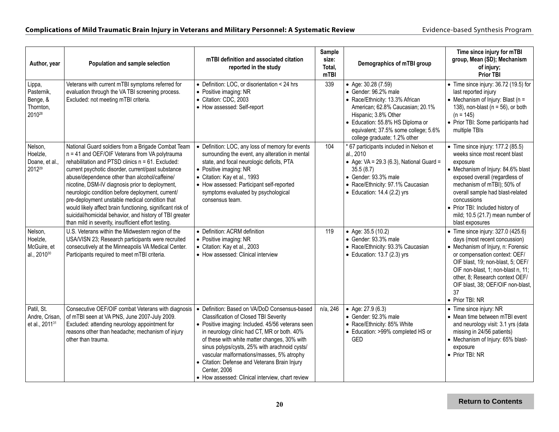| Author, year                                                        | Population and sample selection                                                                                                                                                                                                                                                                                                                                                                                                                                                                                                                                                                           | mTBI definition and associated citation<br>reported in the study                                                                                                                                                                                                                                                                                                                                                                                                     | Sample<br>size:<br>Total,<br>mTBI | Demographics of mTBI group                                                                                                                                                                                                                             | Time since injury for mTBI<br>group, Mean (SD); Mechanism<br>of injury;<br><b>Prior TBI</b>                                                                                                                                                                                                                                          |
|---------------------------------------------------------------------|-----------------------------------------------------------------------------------------------------------------------------------------------------------------------------------------------------------------------------------------------------------------------------------------------------------------------------------------------------------------------------------------------------------------------------------------------------------------------------------------------------------------------------------------------------------------------------------------------------------|----------------------------------------------------------------------------------------------------------------------------------------------------------------------------------------------------------------------------------------------------------------------------------------------------------------------------------------------------------------------------------------------------------------------------------------------------------------------|-----------------------------------|--------------------------------------------------------------------------------------------------------------------------------------------------------------------------------------------------------------------------------------------------------|--------------------------------------------------------------------------------------------------------------------------------------------------------------------------------------------------------------------------------------------------------------------------------------------------------------------------------------|
| Lippa,<br>Pasternik,<br>Benge, &<br>Thornton,<br>2010 <sup>28</sup> | Veterans with current mTBI symptoms referred for<br>evaluation through the VA TBI screening process.<br>Excluded: not meeting mTBI criteria.                                                                                                                                                                                                                                                                                                                                                                                                                                                              | • Definition: LOC, or disorientation < 24 hrs<br>• Positive imaging: NR<br>Citation: CDC, 2003<br>• How assessed: Self-report                                                                                                                                                                                                                                                                                                                                        |                                   | • Age: 30.28 (7.59)<br>• Gender: 96.2% male<br>• Race/Ethnicity: 13.3% African<br>American; 62.8% Caucasian; 20.1%<br>Hispanic; 3.8% Other<br>· Education: 55.8% HS Diploma or<br>equivalent; 37.5% some college; 5.6%<br>college graduate; 1.2% other | $\bullet$ Time since injury: 36.72 (19.5) for<br>last reported injury<br>• Mechanism of Injury: Blast ( $n =$<br>138), non-blast ( $n = 56$ ), or both<br>$(n = 145)$<br>• Prior TBI: Some participants had<br>multiple TBIs                                                                                                         |
| Nelson,<br>Hoelzle,<br>Doane, et al.<br>2012 <sup>29</sup>          | National Guard soldiers from a Brigade Combat Team<br>n = 41 and OEF/OIF Veterans from VA polytrauma<br>rehabilitation and PTSD clinics n = 61. Excluded:<br>current psychotic disorder, current/past substance<br>abuse/dependence other than alcohol/caffeine/<br>nicotine, DSM-IV diagnosis prior to deployment,<br>neurologic condition before deployment, current/<br>pre-deployment unstable medical condition that<br>would likely affect brain functioning, significant risk of<br>suicidal/homicidal behavior, and history of TBI greater<br>than mild in severity, insufficient effort testing. | • Definition: LOC, any loss of memory for events<br>surrounding the event, any alteration in mental<br>state, and focal neurologic deficits, PTA<br>• Positive imaging: NR<br>• Citation: Kay et al., 1993<br>• How assessed: Participant self-reported<br>symptoms evaluated by psychological<br>consensus team.                                                                                                                                                    | 104                               | * 67 participants included in Nelson et<br>al., 2010<br>• Age: $VA = 29.3$ (6.3), National Guard =<br>35.5(8.7)<br>• Gender: 93.3% male<br>• Race/Ethnicity: 97.1% Caucasian<br>$\bullet$ Education: 14.4 (2.2) yrs                                    | • Time since injury: $177.2$ (85.5)<br>weeks since most recent blast<br>exposure<br>• Mechanism of Injury: 84.6% blast<br>exposed overall (regardless of<br>mechanism of mTBI); 50% of<br>overall sample had blast-related<br>concussions<br>• Prior TBI: Included history of<br>mild; 10.5 (21.7) mean number of<br>blast exposures |
| Nelson,<br>Hoelzle,<br>McGuire, et<br>al., 2010 <sup>30</sup>       | U.S. Veterans within the Midwestern region of the<br>USA/VISN 23; Research participants were recruited<br>consecutively at the Minneapolis VA Medical Center.<br>Participants required to meet mTBI criteria.                                                                                                                                                                                                                                                                                                                                                                                             | • Definition: ACRM definition<br>• Positive imaging: NR<br>• Citation: Kay et al., 2003<br>• How assessed: Clinical interview                                                                                                                                                                                                                                                                                                                                        | 119                               | • Age: 35.5 (10.2)<br>• Gender: 93.3% male<br>• Race/Ethnicity: 93.3% Caucasian<br>$\bullet$ Education: 13.7 (2.3) yrs                                                                                                                                 | • Time since injury: $327.0$ (425.6)<br>days (most recent concussion)<br>• Mechanism of Injury, n: Forensic<br>or compensation context: OEF/<br>OIF blast, 19; non-blast, 5; OEF/<br>OIF non-blast, 1; non-blast n, 11;<br>other, 8; Research context OEF/<br>OIF blast, 38; OEF/OIF non-blast,<br>37<br>• Prior TBI: NR             |
| Patil, St.<br>Andre, Crisan.<br>et al., 2011 <sup>31</sup>          | Consecutive OEF/OIF combat Veterans with diagnosis<br>of mTBI seen at VA PNS, June 2007-July 2009.<br>Excluded: attending neurology appointment for<br>reasons other than headache; mechanism of injury<br>other than trauma.                                                                                                                                                                                                                                                                                                                                                                             | • Definition: Based on VA/DoD Consensus-based<br><b>Classification of Closed TBI Severity</b><br>· Positive imaging: Included. 45/56 veterans seen<br>in neurology clinic had CT, MR or both. 40%<br>of these with white matter changes, 30% with<br>sinus polyps/cysts, 25% with arachnoid cysts/<br>vascular malformations/masses, 5% atrophy<br>• Citation: Defense and Veterans Brain Injury<br>Center, 2006<br>• How assessed: Clinical interview, chart review | n/a, 246                          | • Age: 27.9 (6.3)<br>• Gender: 92.3% male<br>• Race/Ethnicity: 85% White<br>• Education: >99% completed HS or<br>GED                                                                                                                                   | • Time since injury: NR<br>• Mean time between mTBI event<br>and neurology visit: 3.1 yrs (data<br>missing in 24/56 patients)<br>• Mechanism of Injury: 65% blast-<br>exposure<br>• Prior TBI: NR                                                                                                                                    |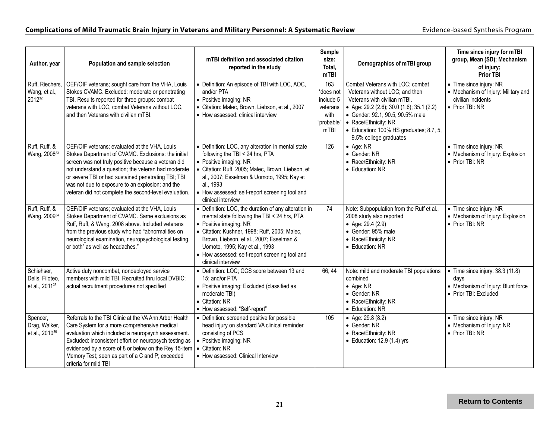| Author, year                                                | Population and sample selection                                                                                                                                                                                                                                                                                                                                                        | mTBI definition and associated citation<br>reported in the study                                                                                                                                                                                                                                                                      | Sample<br>size:<br>Demographics of mTBI group<br>Total,<br>mTBI         |                                                                                                                                                                                                                                                                                  | Time since injury for mTBI<br>group, Mean (SD); Mechanism<br>of injury;<br><b>Prior TBI</b>               |
|-------------------------------------------------------------|----------------------------------------------------------------------------------------------------------------------------------------------------------------------------------------------------------------------------------------------------------------------------------------------------------------------------------------------------------------------------------------|---------------------------------------------------------------------------------------------------------------------------------------------------------------------------------------------------------------------------------------------------------------------------------------------------------------------------------------|-------------------------------------------------------------------------|----------------------------------------------------------------------------------------------------------------------------------------------------------------------------------------------------------------------------------------------------------------------------------|-----------------------------------------------------------------------------------------------------------|
| Ruff, Riechers,<br>Wang, et al.,<br>201232                  | OEF/OIF veterans; sought care from the VHA, Louis<br>Stokes CVAMC. Excluded: moderate or penetrating<br>TBI. Results reported for three groups: combat<br>veterans with LOC, combat Veterans without LOC,<br>and then Veterans with civilian mTBI.                                                                                                                                     | • Definition: An episode of TBI with LOC, AOC,<br>and/or PTA<br>• Positive imaging: NR<br>· Citation: Malec, Brown, Liebson, et al., 2007<br>• How assessed: clinical interview                                                                                                                                                       | 163<br>*does not<br>include 5<br>veterans<br>with<br>"probable"<br>mTBI | Combat Veterans with LOC; combat<br>Veterans without LOC; and then<br>Veterans with civilian mTBI.<br>• Age: 29.2 (2.6); 30.0 (1.6); 35.1 (2.2)<br>• Gender: 92.1, 90.5, 90.5% male<br>• Race/Ethnicity: NR<br>• Education: 100% HS graduates; 8.7, 5,<br>9.5% college graduates | • Time since injury: NR<br>• Mechanism of Injury: Military and<br>civilian incidents<br>• Prior TBI: NR   |
| Ruff, Ruff, &<br>Wang, 2008 <sup>33</sup>                   | OEF/OIF veterans; evaluated at the VHA, Louis<br>Stokes Department of CVAMC. Exclusions: the initial<br>screen was not truly positive because a veteran did<br>not understand a question; the veteran had moderate<br>or severe TBI or had sustained penetrating TBI; TBI<br>was not due to exposure to an explosion; and the<br>veteran did not complete the second-level evaluation. | • Definition: LOC, any alteration in mental state<br>following the TBI < 24 hrs, PTA<br>• Positive imaging: NR<br>· Citation: Ruff, 2005; Malec, Brown, Liebson, et<br>al., 2007; Esselman & Uomoto, 1995; Kay et<br>al., 1993<br>• How assessed: self-report screening tool and<br>clinical interview                                |                                                                         | $\bullet$ Age: NR<br>• Gender: NR<br>• Race/Ethnicity: NR<br>• Education: NR                                                                                                                                                                                                     | • Time since injury: NR<br>• Mechanism of Injury: Explosion<br>• Prior TBI: NR                            |
| Ruff, Ruff, &<br>Wang, 2009 <sup>34</sup>                   | OEF/OIF veterans; evaluated at the VHA, Louis<br>Stokes Department of CVAMC. Same exclusions as<br>Ruff, Ruff, & Wang, 2008 above. Included veterans<br>from the previous study who had "abnormalities on<br>neurological examination, neuropsychological testing,<br>or both" as well as headaches.'                                                                                  | • Definition: LOC, the duration of any alteration in<br>mental state following the TBI < 24 hrs, PTA<br>• Positive imaging: NR<br>· Citation: Kushner, 1998; Ruff, 2005; Malec,<br>Brown, Liebson, et al., 2007; Esselman &<br>Uomoto, 1995; Kay et al., 1993<br>• How assessed: self-report screening tool and<br>clinical interview | 74                                                                      | Note: Subpopulation from the Ruff et al.,<br>2008 study also reported<br>• Age: $29.4$ (2.9)<br>• Gender: 95% male<br>• Race/Ethnicity: NR<br>• Education: NR                                                                                                                    | • Time since injury: NR<br>• Mechanism of Injury: Explosion<br>• Prior TBI: NR                            |
| Schiehser,<br>Delis, Filoteo,<br>et al., 2011 <sup>35</sup> | Active duty noncombat, nondeployed service<br>members with mild TBI. Recruited thru local DVBIC;<br>actual recruitment procedures not specified                                                                                                                                                                                                                                        | • Definition: LOC; GCS score between 13 and<br>15; and/or PTA<br>• Positive imaging: Excluded (classified as<br>moderate TBI)<br>• Citation: NR<br>• How assessed: "Self-report"                                                                                                                                                      | 66, 44                                                                  | Note: mild and moderate TBI populations<br>combined<br>$\bullet$ Age: NR<br>$\bullet$ Gender: NR<br>• Race/Ethnicity: NR<br>• Education: NR                                                                                                                                      | • Time since injury: $38.3$ (11.8)<br>days<br>• Mechanism of Injury: Blunt force<br>• Prior TBI: Excluded |
| Spencer,<br>Drag, Walker,<br>et al., 2010 <sup>36</sup>     | Referrals to the TBI Clinic at the VA Ann Arbor Health<br>Care System for a more comprehensive medical<br>evaluation which included a neuropsych assessment.<br>Excluded: inconsistent effort on neuropsych testing as<br>evidenced by a score of 8 or below on the Rey 15-item<br>Memory Test; seen as part of a C and P; exceeded<br>criteria for mild TBI                           | • Definition: screened positive for possible<br>head injury on standard VA clinical reminder<br>consisting of PCS<br>• Positive imaging: NR<br>• Citation: NR<br>• How assessed: Clinical Interview                                                                                                                                   | 105                                                                     | • Age: 29.8 (8.2)<br>• Gender: NR<br>• Race/Ethnicity: NR<br>$\bullet$ Education: 12.9 (1.4) yrs                                                                                                                                                                                 | • Time since injury: NR<br>• Mechanism of Injury: NR<br>• Prior TBI: NR                                   |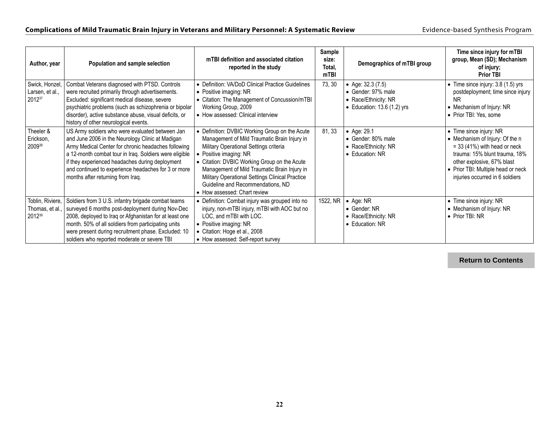|                                  | Author, year                        | Population and sample selection                                                                                                                                                                                                                                                                                                                                     | mTBI definition and associated citation<br>reported in the study                                                                                                                                                                                                                                                                                                                           | Sample<br>size:<br>Total,<br>mTBI | Demographics of mTBI group                                                                             | Time since injury for mTBI<br>group, Mean (SD); Mechanism<br>of injury;<br><b>Prior TBI</b>                                                                                                                                          |
|----------------------------------|-------------------------------------|---------------------------------------------------------------------------------------------------------------------------------------------------------------------------------------------------------------------------------------------------------------------------------------------------------------------------------------------------------------------|--------------------------------------------------------------------------------------------------------------------------------------------------------------------------------------------------------------------------------------------------------------------------------------------------------------------------------------------------------------------------------------------|-----------------------------------|--------------------------------------------------------------------------------------------------------|--------------------------------------------------------------------------------------------------------------------------------------------------------------------------------------------------------------------------------------|
| 201237                           | Swick, Honzel,<br>Larsen, et al.,   | Combat Veterans diagnosed with PTSD. Controls<br>were recruited primarily through advertisements.<br>Excluded: significant medical disease, severe<br>psychiatric problems (such as schizophrenia or bipolar<br>disorder), active substance abuse, visual deficits, or<br>history of other neurological events.                                                     | • Definition: VA/DoD Clinical Practice Guidelines<br>• Positive imaging: NR<br>• Citation: The Management of Concussion/mTBI<br>Working Group, 2009<br>• How assessed: Clinical interview                                                                                                                                                                                                  | 73, 30                            | • Age: 32.3 (7.5)<br>• Gender: 97% male<br>• Race/Ethnicity: NR<br>$\bullet$ Education: 13.6 (1.2) yrs | • Time since injury: $3.8$ (1.5) yrs<br>postdeployment; time since injury<br><b>NR</b><br>• Mechanism of Injury: NR<br>• Prior TBI: Yes, some                                                                                        |
| Theeler &<br>Erickson,<br>200938 |                                     | US Army soldiers who were evaluated between Jan<br>and June 2006 in the Neurology Clinic at Madigan<br>Army Medical Center for chronic headaches following<br>a 12-month combat tour in Iraq. Soldiers were eligible<br>if they experienced headaches during deployment<br>and continued to experience headaches for 3 or more<br>months after returning from Iraq. | • Definition: DVBIC Working Group on the Acute<br>Management of Mild Traumatic Brain Injury in<br>Military Operational Settings criteria<br>• Positive imaging: NR<br>• Citation: DVBIC Working Group on the Acute<br>Management of Mild Traumatic Brain Injury in<br>Military Operational Settings Clinical Practice<br>Guideline and Recommendations, ND<br>• How assessed: Chart review |                                   | • Age: $29.1$<br>• Gender: 80% male<br>• Race/Ethnicity: NR<br>• Education: NR                         | • Time since injury: NR<br>• Mechanism of Injury: Of the n<br>$=$ 33 (41%) with head or neck<br>trauma: 15% blunt trauma, 18%<br>other explosive, 67% blast<br>• Prior TBI: Multiple head or neck<br>injuries occurred in 6 soldiers |
| 201239                           | Toblin, Riviere,<br>Thomas, et al., | Soldiers from 3 U.S. infantry brigade combat teams<br>surveyed 6 months post-deployment during Nov-Dec<br>2008, deployed to Iraq or Afghanistan for at least one<br>month. 50% of all soldiers from participating units<br>were present during recruitment phase. Excluded: 10<br>soldiers who reported moderate or severe TBI                                      | • Definition: Combat injury was grouped into no<br>injury, non-mTBI injury, mTBI with AOC but no<br>LOC, and mTBI with LOC.<br>• Positive imaging: NR<br>• Citation: Hoge et al., 2008<br>• How assessed: Self-report survey                                                                                                                                                               | 1522, NR                          | $\bullet$ Age: NR<br>• Gender: NR<br>• Race/Ethnicity: NR<br>• Education: NR                           | • Time since injury: NR<br>• Mechanism of Injury: NR<br>• Prior TBI: NR                                                                                                                                                              |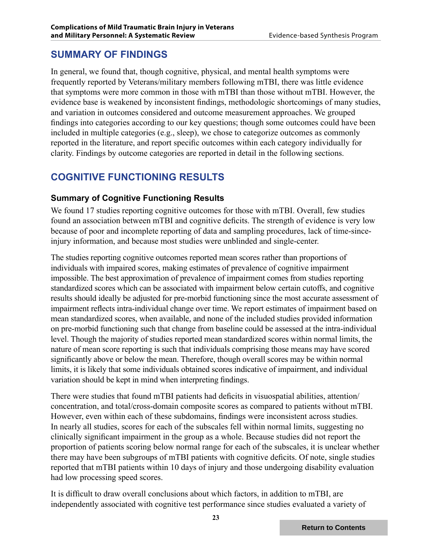# <span id="page-20-0"></span>**Summary of Findings**

In general, we found that, though cognitive, physical, and mental health symptoms were frequently reported by Veterans/military members following mTBI, there was little evidence that symptoms were more common in those with mTBI than those without mTBI. However, the evidence base is weakened by inconsistent findings, methodologic shortcomings of many studies, and variation in outcomes considered and outcome measurement approaches. We grouped findings into categories according to our key questions; though some outcomes could have been included in multiple categories (e.g., sleep), we chose to categorize outcomes as commonly reported in the literature, and report specific outcomes within each category individually for clarity. Findings by outcome categories are reported in detail in the following sections.

# **Cognitive Functioning Results**

#### **Summary of Cognitive Functioning Results**

We found 17 studies reporting cognitive outcomes for those with mTBI. Overall, few studies found an association between mTBI and cognitive deficits. The strength of evidence is very low because of poor and incomplete reporting of data and sampling procedures, lack of time-sinceinjury information, and because most studies were unblinded and single-center.

The studies reporting cognitive outcomes reported mean scores rather than proportions of individuals with impaired scores, making estimates of prevalence of cognitive impairment impossible. The best approximation of prevalence of impairment comes from studies reporting standardized scores which can be associated with impairment below certain cutoffs, and cognitive results should ideally be adjusted for pre-morbid functioning since the most accurate assessment of impairment reflects intra-individual change over time. We report estimates of impairment based on mean standardized scores, when available, and none of the included studies provided information on pre-morbid functioning such that change from baseline could be assessed at the intra-individual level. Though the majority of studies reported mean standardized scores within normal limits, the nature of mean score reporting is such that individuals comprising those means may have scored significantly above or below the mean. Therefore, though overall scores may be within normal limits, it is likely that some individuals obtained scores indicative of impairment, and individual variation should be kept in mind when interpreting findings.

There were studies that found mTBI patients had deficits in visuospatial abilities, attention/ concentration, and total/cross-domain composite scores as compared to patients without mTBI. However, even within each of these subdomains, findings were inconsistent across studies. In nearly all studies, scores for each of the subscales fell within normal limits, suggesting no clinically significant impairment in the group as a whole. Because studies did not report the proportion of patients scoring below normal range for each of the subscales, it is unclear whether there may have been subgroups of mTBI patients with cognitive deficits. Of note, single studies reported that mTBI patients within 10 days of injury and those undergoing disability evaluation had low processing speed scores.

It is difficult to draw overall conclusions about which factors, in addition to mTBI, are independently associated with cognitive test performance since studies evaluated a variety of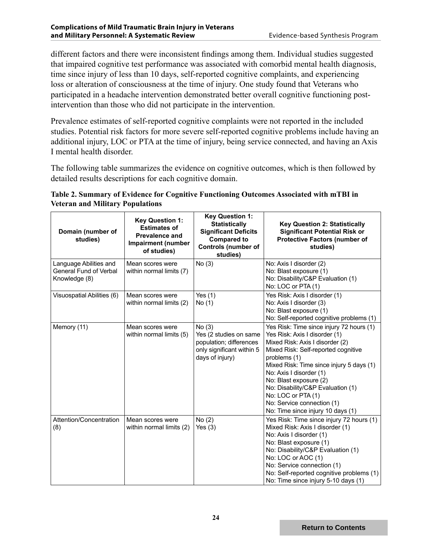<span id="page-21-0"></span>different factors and there were inconsistent findings among them. Individual studies suggested that impaired cognitive test performance was associated with comorbid mental health diagnosis, time since injury of less than 10 days, self-reported cognitive complaints, and experiencing loss or alteration of consciousness at the time of injury. One study found that Veterans who participated in a headache intervention demonstrated better overall cognitive functioning postintervention than those who did not participate in the intervention.

Prevalence estimates of self-reported cognitive complaints were not reported in the included studies. Potential risk factors for more severe self-reported cognitive problems include having an additional injury, LOC or PTA at the time of injury, being service connected, and having an Axis I mental health disorder.

The following table summarizes the evidence on cognitive outcomes, which is then followed by detailed results descriptions for each cognitive domain.

#### **Table 2. Summary of Evidence for Cognitive Functioning Outcomes Associated with mTBI in Veteran and Military Populations**

| Domain (number of<br>studies)                                            | <b>Key Question 1:</b><br><b>Estimates of</b><br><b>Prevalence and</b><br>Impairment (number<br>of studies) | <b>Key Question 1:</b><br><b>Statistically</b><br><b>Significant Deficits</b><br><b>Compared to</b><br><b>Controls (number of</b><br>studies) | <b>Key Question 2: Statistically</b><br><b>Significant Potential Risk or</b><br><b>Protective Factors (number of</b><br>studies)                                                                                                                                                                                                                                                                   |
|--------------------------------------------------------------------------|-------------------------------------------------------------------------------------------------------------|-----------------------------------------------------------------------------------------------------------------------------------------------|----------------------------------------------------------------------------------------------------------------------------------------------------------------------------------------------------------------------------------------------------------------------------------------------------------------------------------------------------------------------------------------------------|
| Language Abilities and<br><b>General Fund of Verbal</b><br>Knowledge (8) | Mean scores were<br>within normal limits (7)                                                                | No(3)                                                                                                                                         | No: Axis I disorder (2)<br>No: Blast exposure (1)<br>No: Disability/C&P Evaluation (1)<br>No: LOC or PTA (1)                                                                                                                                                                                                                                                                                       |
| Visuospatial Abilities (6)                                               | Mean scores were<br>within normal limits (2)                                                                | Yes $(1)$<br>No(1)                                                                                                                            | Yes Risk: Axis I disorder (1)<br>No: Axis I disorder (3)<br>No: Blast exposure (1)<br>No: Self-reported cognitive problems (1)                                                                                                                                                                                                                                                                     |
| Memory (11)                                                              | Mean scores were<br>within normal limits (5)                                                                | No(3)<br>Yes (2 studies on same<br>population; differences<br>only significant within 5<br>days of injury)                                    | Yes Risk: Time since injury 72 hours (1)<br>Yes Risk: Axis I disorder (1)<br>Mixed Risk: Axis I disorder (2)<br>Mixed Risk: Self-reported cognitive<br>problems (1)<br>Mixed Risk: Time since injury 5 days (1)<br>No: Axis I disorder (1)<br>No: Blast exposure (2)<br>No: Disability/C&P Evaluation (1)<br>No: LOC or PTA (1)<br>No: Service connection (1)<br>No: Time since injury 10 days (1) |
| Attention/Concentration<br>(8)                                           | Mean scores were<br>within normal limits (2)                                                                | No(2)<br>Yes $(3)$                                                                                                                            | Yes Risk: Time since injury 72 hours (1)<br>Mixed Risk: Axis I disorder (1)<br>No: Axis I disorder (1)<br>No: Blast exposure (1)<br>No: Disability/C&P Evaluation (1)<br>No: LOC or AOC (1)<br>No: Service connection (1)<br>No: Self-reported cognitive problems (1)<br>No: Time since injury 5-10 days (1)                                                                                       |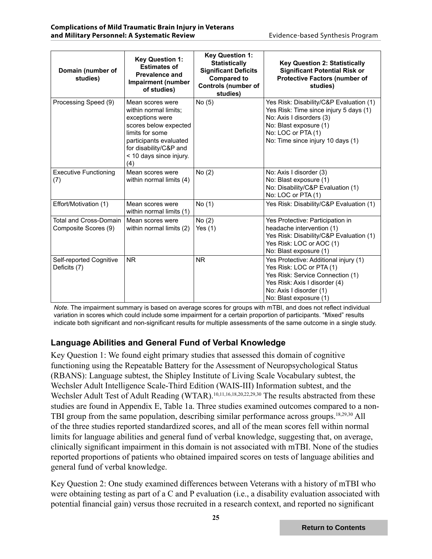| Domain (number of<br>studies)                  | <b>Key Question 1:</b><br><b>Estimates of</b><br>Prevalence and<br><b>Impairment</b> (number<br>of studies)                                                                                    | <b>Key Question 1:</b><br><b>Statistically</b><br><b>Significant Deficits</b><br><b>Compared to</b><br><b>Controls (number of</b><br>studies) | <b>Key Question 2: Statistically</b><br><b>Significant Potential Risk or</b><br><b>Protective Factors (number of</b><br>studies)                                                                   |
|------------------------------------------------|------------------------------------------------------------------------------------------------------------------------------------------------------------------------------------------------|-----------------------------------------------------------------------------------------------------------------------------------------------|----------------------------------------------------------------------------------------------------------------------------------------------------------------------------------------------------|
| Processing Speed (9)                           | Mean scores were<br>within normal limits;<br>exceptions were<br>scores below expected<br>limits for some<br>participants evaluated<br>for disability/C&P and<br>< 10 days since injury.<br>(4) | No (5)                                                                                                                                        | Yes Risk: Disability/C&P Evaluation (1)<br>Yes Risk: Time since injury 5 days (1)<br>No: Axis I disorders (3)<br>No: Blast exposure (1)<br>No: LOC or PTA (1)<br>No: Time since injury 10 days (1) |
| <b>Executive Functioning</b><br>(7)            | Mean scores were<br>within normal limits (4)                                                                                                                                                   | No(2)                                                                                                                                         | No: Axis I disorder (3)<br>No: Blast exposure (1)<br>No: Disability/C&P Evaluation (1)<br>No: LOC or PTA (1)                                                                                       |
| Effort/Motivation (1)                          | Mean scores were<br>within normal limits (1)                                                                                                                                                   | No(1)                                                                                                                                         | Yes Risk: Disability/C&P Evaluation (1)                                                                                                                                                            |
| Total and Cross-Domain<br>Composite Scores (9) | Mean scores were<br>within normal limits (2)                                                                                                                                                   | No(2)<br>Yes $(1)$                                                                                                                            | Yes Protective: Participation in<br>headache intervention (1)<br>Yes Risk: Disability/C&P Evaluation (1)<br>Yes Risk: LOC or AOC (1)<br>No: Blast exposure (1)                                     |
| Self-reported Cognitive<br>Deficits (7)        | <b>NR</b>                                                                                                                                                                                      | <b>NR</b>                                                                                                                                     | Yes Protective: Additional injury (1)<br>Yes Risk: LOC or PTA (1)<br>Yes Risk: Service Connection (1)<br>Yes Risk: Axis I disorder (4)<br>No: Axis I disorder (1)<br>No: Blast exposure (1)        |

*Note.* The impairment summary is based on average scores for groups with mTBI, and does not reflect individual variation in scores which could include some impairment for a certain proportion of participants. "Mixed" results indicate both significant and non-significant results for multiple assessments of the same outcome in a single study.

#### **Language Abilities and General Fund of Verbal Knowledge**

Key Question 1: We found eight primary studies that assessed this domain of cognitive functioning using the Repeatable Battery for the Assessment of Neuropsychological Status (RBANS): Language subtest, the Shipley Institute of Living Scale Vocabulary subtest, the Wechsler Adult Intelligence Scale-Third Edition (WAIS-III) Information subtest, and the Wechsler Adult Test of Adult Reading (WTAR).<sup>10,11,16,18,20,22,29,30</sup> The results abstracted from these studies are found in Appendix E, Table 1a. Three studies examined outcomes compared to a non-TBI group from the same population, describing similar performance across groups.18,29,30 All of the three studies reported standardized scores, and all of the mean scores fell within normal limits for language abilities and general fund of verbal knowledge, suggesting that, on average, clinically significant impairment in this domain is not associated with mTBI. None of the studies reported proportions of patients who obtained impaired scores on tests of language abilities and general fund of verbal knowledge.

Key Question 2: One study examined differences between Veterans with a history of mTBI who were obtaining testing as part of a C and P evaluation (i.e., a disability evaluation associated with potential financial gain) versus those recruited in a research context, and reported no significant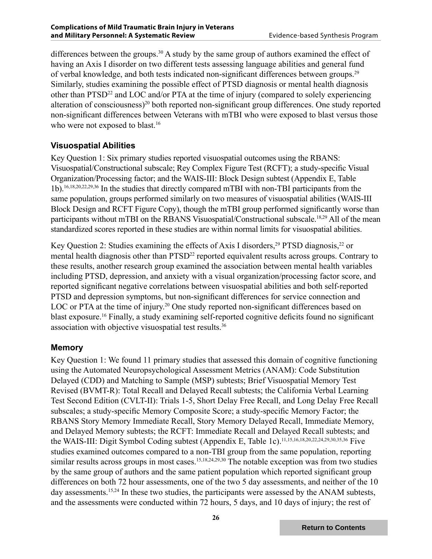differences between the groups.<sup>30</sup> A study by the same group of authors examined the effect of having an Axis I disorder on two different tests assessing language abilities and general fund of verbal knowledge, and both tests indicated non-significant differences between groups.<sup>29</sup> Similarly, studies examining the possible effect of PTSD diagnosis or mental health diagnosis other than PTSD<sup>22</sup> and LOC and/or PTA at the time of injury (compared to solely experiencing alteration of consciousness)20 both reported non-significant group differences. One study reported non-significant differences between Veterans with mTBI who were exposed to blast versus those who were not exposed to blast.<sup>16</sup>

# **Visuospatial Abilities**

Key Question 1: Six primary studies reported visuospatial outcomes using the RBANS: Visuospatial/Constructional subscale; Rey Complex Figure Test (RCFT); a study-specific Visual Organization/Processing factor; and the WAIS-III: Block Design subtest (Appendix E, Table 1b).16,18,20,22,29,36 In the studies that directly compared mTBI with non-TBI participants from the same population, groups performed similarly on two measures of visuospatial abilities (WAIS-III Block Design and RCFT Figure Copy), though the mTBI group performed significantly worse than participants without mTBI on the RBANS Visuospatial/Constructional subscale.<sup>18,29</sup> All of the mean standardized scores reported in these studies are within normal limits for visuospatial abilities.

Key Question 2: Studies examining the effects of Axis I disorders,  $29$  PTSD diagnosis,  $22$  or mental health diagnosis other than PTSD<sup>22</sup> reported equivalent results across groups. Contrary to these results, another research group examined the association between mental health variables including PTSD, depression, and anxiety with a visual organization/processing factor score, and reported significant negative correlations between visuospatial abilities and both self-reported PTSD and depression symptoms, but non-significant differences for service connection and LOC or PTA at the time of injury.<sup>20</sup> One study reported non-significant differences based on blast exposure.16 Finally, a study examining self-reported cognitive deficits found no significant association with objective visuospatial test results.36

# **Memory**

Key Question 1: We found 11 primary studies that assessed this domain of cognitive functioning using the Automated Neuropsychological Assessment Metrics (ANAM): Code Substitution Delayed (CDD) and Matching to Sample (MSP) subtests; Brief Visuospatial Memory Test Revised (BVMT-R): Total Recall and Delayed Recall subtests; the California Verbal Learning Test Second Edition (CVLT-II): Trials 1-5, Short Delay Free Recall, and Long Delay Free Recall subscales; a study-specific Memory Composite Score; a study-specific Memory Factor; the RBANS Story Memory Immediate Recall, Story Memory Delayed Recall, Immediate Memory, and Delayed Memory subtests; the RCFT: Immediate Recall and Delayed Recall subtests; and the WAIS-III: Digit Symbol Coding subtest (Appendix E, Table 1c).<sup>11,15,16,18,20,22,24,29,30,35,36</sup> Five studies examined outcomes compared to a non-TBI group from the same population, reporting similar results across groups in most cases.<sup>15,18,24,29,30</sup> The notable exception was from two studies by the same group of authors and the same patient population which reported significant group differences on both 72 hour assessments, one of the two 5 day assessments, and neither of the 10 day assessments.<sup>15,24</sup> In these two studies, the participants were assessed by the ANAM subtests, and the assessments were conducted within 72 hours, 5 days, and 10 days of injury; the rest of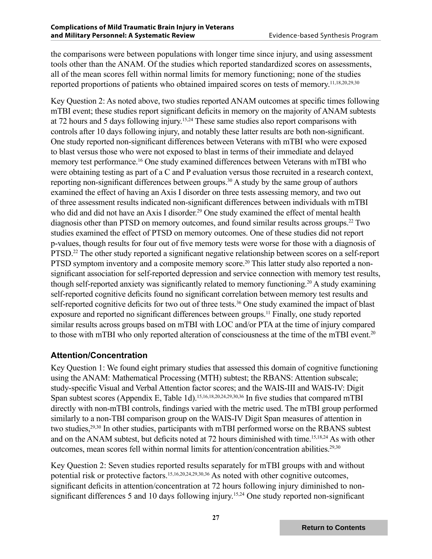the comparisons were between populations with longer time since injury, and using assessment tools other than the ANAM. Of the studies which reported standardized scores on assessments, all of the mean scores fell within normal limits for memory functioning; none of the studies reported proportions of patients who obtained impaired scores on tests of memory.11,18,20,29,30

Key Question 2: As noted above, two studies reported ANAM outcomes at specific times following mTBI event; these studies report significant deficits in memory on the majority of ANAM subtests at 72 hours and 5 days following injury.15,24 These same studies also report comparisons with controls after 10 days following injury, and notably these latter results are both non-significant. One study reported non-significant differences between Veterans with mTBI who were exposed to blast versus those who were not exposed to blast in terms of their immediate and delayed memory test performance.16 One study examined differences between Veterans with mTBI who were obtaining testing as part of a C and P evaluation versus those recruited in a research context, reporting non-significant differences between groups.<sup>30</sup> A study by the same group of authors examined the effect of having an Axis I disorder on three tests assessing memory, and two out of three assessment results indicated non-significant differences between individuals with mTBI who did and did not have an Axis I disorder.<sup>29</sup> One study examined the effect of mental health diagnosis other than PTSD on memory outcomes, and found similar results across groups.<sup>22</sup> Two studies examined the effect of PTSD on memory outcomes. One of these studies did not report p-values, though results for four out of five memory tests were worse for those with a diagnosis of PTSD.22 The other study reported a significant negative relationship between scores on a self-report PTSD symptom inventory and a composite memory score.<sup>20</sup> This latter study also reported a nonsignificant association for self-reported depression and service connection with memory test results, though self-reported anxiety was significantly related to memory functioning.<sup>20</sup> A study examining self-reported cognitive deficits found no significant correlation between memory test results and self-reported cognitive deficits for two out of three tests.<sup>36</sup> One study examined the impact of blast exposure and reported no significant differences between groups.11 Finally, one study reported similar results across groups based on mTBI with LOC and/or PTA at the time of injury compared to those with mTBI who only reported alteration of consciousness at the time of the mTBI event.<sup>20</sup>

#### **Attention/Concentration**

Key Question 1: We found eight primary studies that assessed this domain of cognitive functioning using the ANAM: Mathematical Processing (MTH) subtest; the RBANS: Attention subscale; study-specific Visual and Verbal Attention factor scores; and the WAIS-III and WAIS-IV: Digit Span subtest scores (Appendix E, Table 1d).<sup>15,16,18,20,24,29,30,36</sup> In five studies that compared mTBI directly with non-mTBI controls, findings varied with the metric used. The mTBI group performed similarly to a non-TBI comparison group on the WAIS-IV Digit Span measures of attention in two studies,<sup>29,30</sup> In other studies, participants with mTBI performed worse on the RBANS subtest and on the ANAM subtest, but deficits noted at 72 hours diminished with time.15,18,24 As with other outcomes, mean scores fell within normal limits for attention/concentration abilities.<sup>29,30</sup>

Key Question 2: Seven studies reported results separately for mTBI groups with and without potential risk or protective factors.<sup>15,16,20,24,29,30,36</sup> As noted with other cognitive outcomes, significant deficits in attention/concentration at 72 hours following injury diminished to nonsignificant differences 5 and 10 days following injury.<sup>15,24</sup> One study reported non-significant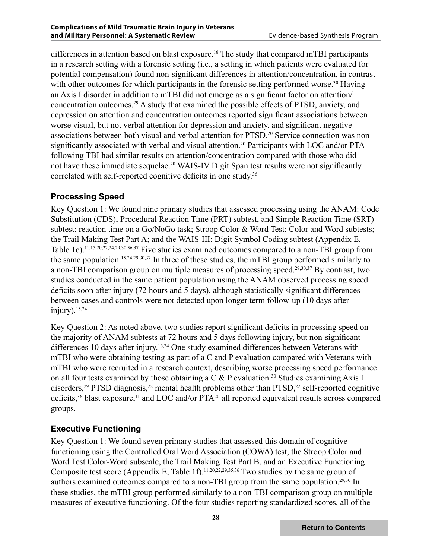differences in attention based on blast exposure.<sup>16</sup> The study that compared mTBI participants in a research setting with a forensic setting (i.e., a setting in which patients were evaluated for potential compensation) found non-significant differences in attention/concentration, in contrast with other outcomes for which participants in the forensic setting performed worse.<sup>30</sup> Having an Axis I disorder in addition to mTBI did not emerge as a significant factor on attention/ concentration outcomes.29 A study that examined the possible effects of PTSD, anxiety, and depression on attention and concentration outcomes reported significant associations between worse visual, but not verbal attention for depression and anxiety, and significant negative associations between both visual and verbal attention for PTSD.20 Service connection was nonsignificantly associated with verbal and visual attention.<sup>20</sup> Participants with LOC and/or PTA following TBI had similar results on attention/concentration compared with those who did not have these immediate sequelae.<sup>20</sup> WAIS-IV Digit Span test results were not significantly correlated with self-reported cognitive deficits in one study.<sup>36</sup>

### **Processing Speed**

Key Question 1: We found nine primary studies that assessed processing using the ANAM: Code Substitution (CDS), Procedural Reaction Time (PRT) subtest, and Simple Reaction Time (SRT) subtest; reaction time on a Go/NoGo task; Stroop Color & Word Test: Color and Word subtests; the Trail Making Test Part A; and the WAIS-III: Digit Symbol Coding subtest (Appendix E, Table 1e).11,15,20,22,24,29,30,36,37 Five studies examined outcomes compared to a non-TBI group from the same population.15,24,29,30,37 In three of these studies, the mTBI group performed similarly to a non-TBI comparison group on multiple measures of processing speed.29,30,37 By contrast, two studies conducted in the same patient population using the ANAM observed processing speed deficits soon after injury (72 hours and 5 days), although statistically significant differences between cases and controls were not detected upon longer term follow-up (10 days after injury). $15,24$ 

Key Question 2: As noted above, two studies report significant deficits in processing speed on the majority of ANAM subtests at 72 hours and 5 days following injury, but non-significant differences 10 days after injury.<sup>15,24</sup> One study examined differences between Veterans with mTBI who were obtaining testing as part of a C and P evaluation compared with Veterans with mTBI who were recruited in a research context, describing worse processing speed performance on all four tests examined by those obtaining a C & P evaluation.<sup>30</sup> Studies examining Axis I disorders,<sup>29</sup> PTSD diagnosis,<sup>22</sup> mental health problems other than PTSD,<sup>22</sup> self-reported cognitive deficits,<sup>36</sup> blast exposure,<sup>11</sup> and LOC and/or  $PTA<sup>20</sup>$  all reported equivalent results across compared groups.

# **Executive Functioning**

Key Question 1: We found seven primary studies that assessed this domain of cognitive functioning using the Controlled Oral Word Association (COWA) test, the Stroop Color and Word Test Color-Word subscale, the Trail Making Test Part B, and an Executive Functioning Composite test score (Appendix E, Table 1f).<sup>11,20,22,29,35,36</sup> Two studies by the same group of authors examined outcomes compared to a non-TBI group from the same population.<sup>29,30</sup> In these studies, the mTBI group performed similarly to a non-TBI comparison group on multiple measures of executive functioning. Of the four studies reporting standardized scores, all of the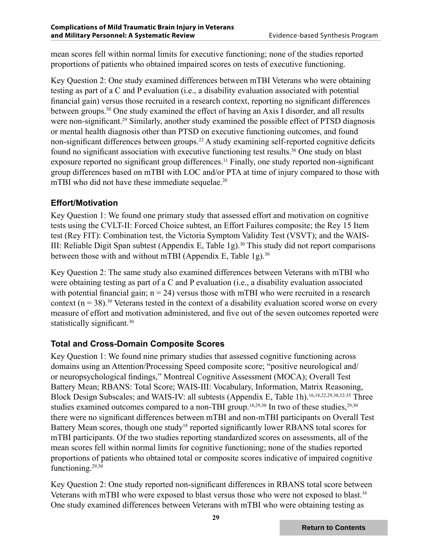mean scores fell within normal limits for executive functioning; none of the studies reported proportions of patients who obtained impaired scores on tests of executive functioning.

Key Question 2: One study examined differences between mTBI Veterans who were obtaining testing as part of a C and P evaluation (i.e., a disability evaluation associated with potential financial gain) versus those recruited in a research context, reporting no significant differences between groups.30 One study examined the effect of having an Axis I disorder, and all results were non-significant.<sup>29</sup> Similarly, another study examined the possible effect of PTSD diagnosis or mental health diagnosis other than PTSD on executive functioning outcomes, and found non-significant differences between groups.<sup>22</sup> A study examining self-reported cognitive deficits found no significant association with executive functioning test results.<sup>36</sup> One study on blast exposure reported no significant group differences.<sup>11</sup> Finally, one study reported non-significant group differences based on mTBI with LOC and/or PTA at time of injury compared to those with mTBI who did not have these immediate sequelae.<sup>20</sup>

#### **Effort/Motivation**

Key Question 1: We found one primary study that assessed effort and motivation on cognitive tests using the CVLT-II: Forced Choice subtest, an Effort Failures composite; the Rey 15 Item test (Rey FIT): Combination test, the Victoria Symptom Validity Test (VSVT); and the WAIS-III: Reliable Digit Span subtest (Appendix E, Table 1g).<sup>30</sup> This study did not report comparisons between those with and without mTBI (Appendix E, Table 1g).<sup>30</sup>

Key Question 2: The same study also examined differences between Veterans with mTBI who were obtaining testing as part of a C and P evaluation (i.e., a disability evaluation associated with potential financial gain;  $n = 24$ ) versus those with mTBI who were recruited in a research context ( $n = 38$ ).<sup>30</sup> Veterans tested in the context of a disability evaluation scored worse on every measure of effort and motivation administered, and five out of the seven outcomes reported were statistically significant.<sup>30</sup>

# **Total and Cross-Domain Composite Scores**

Key Question 1: We found nine primary studies that assessed cognitive functioning across domains using an Attention/Processing Speed composite score; "positive neurological and/ or neuropsychological findings," Montreal Cognitive Assessment (MOCA); Overall Test Battery Mean; RBANS: Total Score; WAIS-III: Vocabulary, Information, Matrix Reasoning, Block Design Subscales; and WAIS-IV: all subtests (Appendix E, Table 1h).<sup>16,18,22,29,30,32-35</sup> Three studies examined outcomes compared to a non-TBI group.<sup>18,29,30</sup> In two of these studies,<sup>29,30</sup> there were no significant differences between mTBI and non-mTBI participants on Overall Test Battery Mean scores, though one study<sup>18</sup> reported significantly lower RBANS total scores for mTBI participants. Of the two studies reporting standardized scores on assessments, all of the mean scores fell within normal limits for cognitive functioning; none of the studies reported proportions of patients who obtained total or composite scores indicative of impaired cognitive functioning.<sup>29,30</sup>

Key Question 2: One study reported non-significant differences in RBANS total score between Veterans with mTBI who were exposed to blast versus those who were not exposed to blast.16 One study examined differences between Veterans with mTBI who were obtaining testing as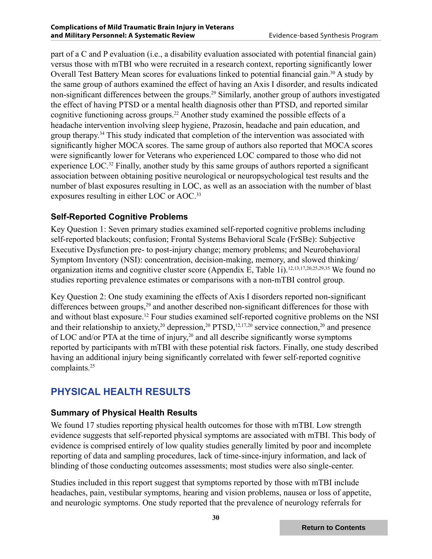part of a C and P evaluation (i.e., a disability evaluation associated with potential financial gain) versus those with mTBI who were recruited in a research context, reporting significantly lower Overall Test Battery Mean scores for evaluations linked to potential financial gain.<sup>30</sup> A study by the same group of authors examined the effect of having an Axis I disorder, and results indicated non-significant differences between the groups.<sup>29</sup> Similarly, another group of authors investigated the effect of having PTSD or a mental health diagnosis other than PTSD, and reported similar cognitive functioning across groups.<sup>22</sup> Another study examined the possible effects of a headache intervention involving sleep hygiene, Prazosin, headache and pain education, and group therapy.34 This study indicated that completion of the intervention was associated with significantly higher MOCA scores. The same group of authors also reported that MOCA scores were significantly lower for Veterans who experienced LOC compared to those who did not experience LOC.<sup>32</sup> Finally, another study by this same groups of authors reported a significant association between obtaining positive neurological or neuropsychological test results and the number of blast exposures resulting in LOC, as well as an association with the number of blast exposures resulting in either LOC or AOC.33

# **Self-Reported Cognitive Problems**

Key Question 1: Seven primary studies examined self-reported cognitive problems including self-reported blackouts; confusion; Frontal Systems Behavioral Scale (FrSBe): Subjective Executive Dysfunction pre- to post-injury change; memory problems; and Neurobehavioral Symptom Inventory (NSI): concentration, decision-making, memory, and slowed thinking/ organization items and cognitive cluster score (Appendix E, Table 1i).12,13,17,20,25,29,35 We found no studies reporting prevalence estimates or comparisons with a non-mTBI control group.

Key Question 2: One study examining the effects of Axis I disorders reported non-significant differences between groups,<sup>29</sup> and another described non-significant differences for those with and without blast exposure.12 Four studies examined self-reported cognitive problems on the NSI and their relationship to anxiety,<sup>20</sup> depression,<sup>20</sup> PTSD,<sup>12,17,20</sup> service connection,<sup>20</sup> and presence of LOC and/or PTA at the time of injury,<sup>20</sup> and all describe significantly worse symptoms reported by participants with mTBI with these potential risk factors. Finally, one study described having an additional injury being significantly correlated with fewer self-reported cognitive complaints.25

# **Physical Health Results**

# **Summary of Physical Health Results**

We found 17 studies reporting physical health outcomes for those with mTBI. Low strength evidence suggests that self-reported physical symptoms are associated with mTBI. This body of evidence is comprised entirely of low quality studies generally limited by poor and incomplete reporting of data and sampling procedures, lack of time-since-injury information, and lack of blinding of those conducting outcomes assessments; most studies were also single-center.

Studies included in this report suggest that symptoms reported by those with mTBI include headaches, pain, vestibular symptoms, hearing and vision problems, nausea or loss of appetite, and neurologic symptoms. One study reported that the prevalence of neurology referrals for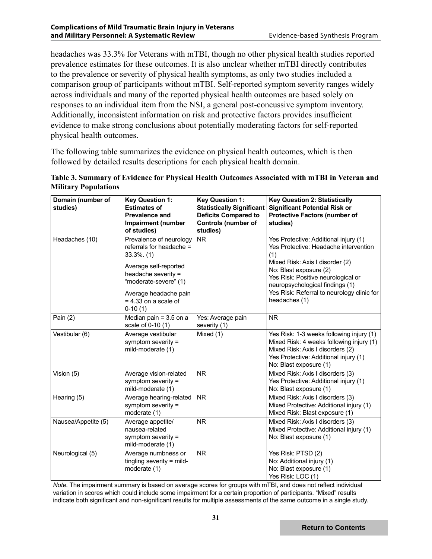<span id="page-28-0"></span>headaches was 33.3% for Veterans with mTBI, though no other physical health studies reported prevalence estimates for these outcomes. It is also unclear whether mTBI directly contributes to the prevalence or severity of physical health symptoms, as only two studies included a comparison group of participants without mTBI. Self-reported symptom severity ranges widely across individuals and many of the reported physical health outcomes are based solely on responses to an individual item from the NSI, a general post-concussive symptom inventory. Additionally, inconsistent information on risk and protective factors provides insufficient evidence to make strong conclusions about potentially moderating factors for self-reported physical health outcomes.

The following table summarizes the evidence on physical health outcomes, which is then followed by detailed results descriptions for each physical health domain.

| Table 3. Summary of Evidence for Physical Health Outcomes Associated with mTBI in Veteran and |  |
|-----------------------------------------------------------------------------------------------|--|
| <b>Military Populations</b>                                                                   |  |

| Domain (number of<br>studies) | <b>Key Question 1:</b><br><b>Estimates of</b><br><b>Prevalence and</b><br><b>Impairment (number</b><br>of studies)                                                                                             | <b>Key Question 1:</b><br><b>Statistically Significant</b><br><b>Deficits Compared to</b><br><b>Controls (number of</b><br>studies) | <b>Key Question 2: Statistically</b><br><b>Significant Potential Risk or</b><br><b>Protective Factors (number of</b><br>studies)                                                                                                                                                           |
|-------------------------------|----------------------------------------------------------------------------------------------------------------------------------------------------------------------------------------------------------------|-------------------------------------------------------------------------------------------------------------------------------------|--------------------------------------------------------------------------------------------------------------------------------------------------------------------------------------------------------------------------------------------------------------------------------------------|
| Headaches (10)                | Prevalence of neurology<br>referrals for headache =<br>$33.3\%$ . (1)<br>Average self-reported<br>headache severity =<br>"moderate-severe" (1)<br>Average headache pain<br>$= 4.33$ on a scale of<br>$0-10(1)$ | <b>NR</b>                                                                                                                           | Yes Protective: Additional injury (1)<br>Yes Protective: Headache intervention<br>(1)<br>Mixed Risk: Axis I disorder (2)<br>No: Blast exposure (2)<br>Yes Risk: Positive neurological or<br>neuropsychological findings (1)<br>Yes Risk: Referral to neurology clinic for<br>headaches (1) |
| Pain $(2)$                    | Median pain = $3.5$ on a<br>scale of 0-10 (1)                                                                                                                                                                  | Yes: Average pain<br>severity (1)                                                                                                   | N <sub>R</sub>                                                                                                                                                                                                                                                                             |
| Vestibular (6)                | Average vestibular<br>symptom severity $=$<br>mild-moderate (1)                                                                                                                                                | Mixed (1)                                                                                                                           | Yes Risk: 1-3 weeks following injury (1)<br>Mixed Risk: 4 weeks following injury (1)<br>Mixed Risk: Axis I disorders (2)<br>Yes Protective: Additional injury (1)<br>No: Blast exposure (1)                                                                                                |
| Vision (5)                    | Average vision-related<br>symptom severity =<br>mild-moderate (1)                                                                                                                                              | <b>NR</b>                                                                                                                           | Mixed Risk: Axis I disorders (3)<br>Yes Protective: Additional injury (1)<br>No: Blast exposure (1)                                                                                                                                                                                        |
| Hearing (5)                   | Average hearing-related<br>symptom severity =<br>moderate (1)                                                                                                                                                  | <b>NR</b>                                                                                                                           | Mixed Risk: Axis I disorders (3)<br>Mixed Protective: Additional injury (1)<br>Mixed Risk: Blast exposure (1)                                                                                                                                                                              |
| Nausea/Appetite (5)           | Average appetite/<br>nausea-related<br>symptom severity =<br>mild-moderate (1)                                                                                                                                 | <b>NR</b>                                                                                                                           | Mixed Risk: Axis I disorders (3)<br>Mixed Protective: Additional injury (1)<br>No: Blast exposure (1)                                                                                                                                                                                      |
| Neurological (5)              | Average numbness or<br>tingling severity = mild-<br>moderate (1)                                                                                                                                               | <b>NR</b>                                                                                                                           | Yes Risk: PTSD (2)<br>No: Additional injury (1)<br>No: Blast exposure (1)<br>Yes Risk: LOC (1)                                                                                                                                                                                             |

*Note.* The impairment summary is based on average scores for groups with mTBI, and does not reflect individual variation in scores which could include some impairment for a certain proportion of participants. "Mixed" results indicate both significant and non-significant results for multiple assessments of the same outcome in a single study.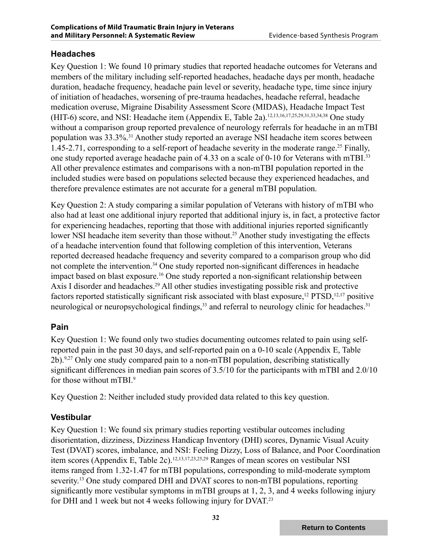#### **Headaches**

Key Question 1: We found 10 primary studies that reported headache outcomes for Veterans and members of the military including self-reported headaches, headache days per month, headache duration, headache frequency, headache pain level or severity, headache type, time since injury of initiation of headaches, worsening of pre-trauma headaches, headache referral, headache medication overuse, Migraine Disability Assessment Score (MIDAS), Headache Impact Test (HIT-6) score, and NSI: Headache item (Appendix E, Table 2a).12,13,16,17,25,29,31,33,34,38 One study without a comparison group reported prevalence of neurology referrals for headache in an mTBI population was 33.3%.31 Another study reported an average NSI headache item scores between 1.45-2.71, corresponding to a self-report of headache severity in the moderate range.<sup>25</sup> Finally, one study reported average headache pain of 4.33 on a scale of 0-10 for Veterans with mTBI.<sup>33</sup> All other prevalence estimates and comparisons with a non-mTBI population reported in the included studies were based on populations selected because they experienced headaches, and therefore prevalence estimates are not accurate for a general mTBI population.

Key Question 2: A study comparing a similar population of Veterans with history of mTBI who also had at least one additional injury reported that additional injury is, in fact, a protective factor for experiencing headaches, reporting that those with additional injuries reported significantly lower NSI headache item severity than those without.<sup>25</sup> Another study investigating the effects of a headache intervention found that following completion of this intervention, Veterans reported decreased headache frequency and severity compared to a comparison group who did not complete the intervention.<sup>34</sup> One study reported non-significant differences in headache impact based on blast exposure.16 One study reported a non-significant relationship between Axis I disorder and headaches.<sup>29</sup> All other studies investigating possible risk and protective factors reported statistically significant risk associated with blast exposure,<sup>12</sup> PTSD,<sup>12,17</sup> positive neurological or neuropsychological findings,<sup>33</sup> and referral to neurology clinic for headaches.<sup>31</sup>

#### **Pain**

Key Question 1: We found only two studies documenting outcomes related to pain using selfreported pain in the past 30 days, and self-reported pain on a 0-10 scale (Appendix E, Table 2b).9,27 Only one study compared pain to a non-mTBI population, describing statistically significant differences in median pain scores of 3.5/10 for the participants with mTBI and 2.0/10 for those without mTBI.<sup>9</sup>

Key Question 2: Neither included study provided data related to this key question.

#### **Vestibular**

Key Question 1: We found six primary studies reporting vestibular outcomes including disorientation, dizziness, Dizziness Handicap Inventory (DHI) scores, Dynamic Visual Acuity Test (DVAT) scores, imbalance, and NSI: Feeling Dizzy, Loss of Balance, and Poor Coordination item scores (Appendix E, Table 2c).<sup>12,13,17,23,25,29</sup> Ranges of mean scores on vestibular NSI items ranged from 1.32-1.47 for mTBI populations, corresponding to mild-moderate symptom severity.13 One study compared DHI and DVAT scores to non-mTBI populations, reporting significantly more vestibular symptoms in mTBI groups at 1, 2, 3, and 4 weeks following injury for DHI and 1 week but not 4 weeks following injury for DVAT.23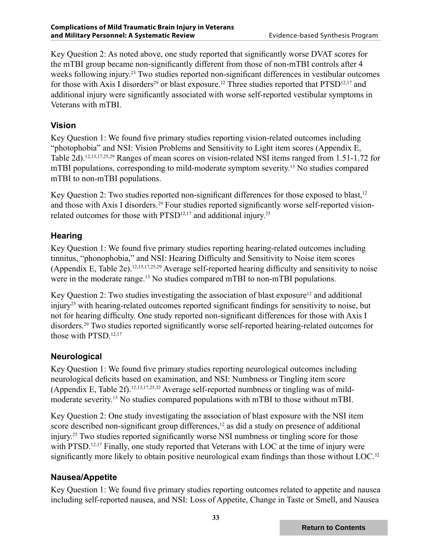Key Question 2: As noted above, one study reported that significantly worse DVAT scores for the mTBI group became non-significantly different from those of non-mTBI controls after 4 weeks following injury.<sup>23</sup> Two studies reported non-significant differences in vestibular outcomes for those with Axis I disorders<sup>29</sup> or blast exposure.<sup>12</sup> Three studies reported that  $PTSD<sup>12,17</sup>$  and additional injury were significantly associated with worse self-reported vestibular symptoms in Veterans with mTBI.

#### **Vision**

Key Question 1: We found five primary studies reporting vision-related outcomes including "photophobia" and NSI: Vision Problems and Sensitivity to Light item scores (Appendix E, Table 2d).12,13,17,25,29 Ranges of mean scores on vision-related NSI items ranged from 1.51-1.72 for mTBI populations, corresponding to mild-moderate symptom severity.13 No studies compared mTBI to non-mTBI populations.

Key Question 2: Two studies reported non-significant differences for those exposed to blast,  $12$ and those with Axis I disorders.<sup>29</sup> Four studies reported significantly worse self-reported visionrelated outcomes for those with  $PTSD<sup>12,17</sup>$  and additional injury.<sup>25</sup>

### **Hearing**

Key Question 1: We found five primary studies reporting hearing-related outcomes including tinnitus, "phonophobia," and NSI: Hearing Difficulty and Sensitivity to Noise item scores (Appendix E, Table 2e).12,13,17,25,29 Average self-reported hearing difficulty and sensitivity to noise were in the moderate range.<sup>13</sup> No studies compared mTBI to non-mTBI populations.

Key Question 2: Two studies investigating the association of blast exposure<sup>12</sup> and additional injury25 with hearing-related outcomes reported significant findings for sensitivity to noise, but not for hearing difficulty. One study reported non-significant differences for those with Axis I disorders.29 Two studies reported significantly worse self-reported hearing-related outcomes for those with PTSD.<sup>12,17</sup>

#### **Neurological**

Key Question 1: We found five primary studies reporting neurological outcomes including neurological deficits based on examination, and NSI: Numbness or Tingling item score (Appendix E, Table 2f).12,13,17,25,32 Average self-reported numbness or tingling was of mildmoderate severity.13 No studies compared populations with mTBI to those without mTBI.

Key Question 2: One study investigating the association of blast exposure with the NSI item score described non-significant group differences,<sup>12</sup> as did a study on presence of additional injury.25 Two studies reported significantly worse NSI numbness or tingling score for those with PTSD.<sup>12,17</sup> Finally, one study reported that Veterans with LOC at the time of injury were significantly more likely to obtain positive neurological exam findings than those without LOC.<sup>32</sup>

#### **Nausea/Appetite**

Key Question 1: We found five primary studies reporting outcomes related to appetite and nausea including self-reported nausea, and NSI: Loss of Appetite, Change in Taste or Smell, and Nausea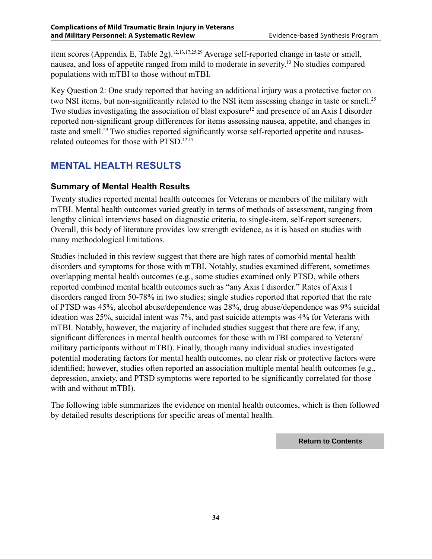<span id="page-31-0"></span>item scores (Appendix E, Table 2g).12,13,17,25,29 Average self-reported change in taste or smell, nausea, and loss of appetite ranged from mild to moderate in severity.13 No studies compared populations with mTBI to those without mTBI.

Key Question 2: One study reported that having an additional injury was a protective factor on two NSI items, but non-significantly related to the NSI item assessing change in taste or smell.<sup>25</sup> Two studies investigating the association of blast exposure<sup>12</sup> and presence of an Axis I disorder reported non-significant group differences for items assessing nausea, appetite, and changes in taste and smell.<sup>29</sup> Two studies reported significantly worse self-reported appetite and nausearelated outcomes for those with PTSD.12,17

# **Mental Health Results**

# **Summary of Mental Health Results**

Twenty studies reported mental health outcomes for Veterans or members of the military with mTBI. Mental health outcomes varied greatly in terms of methods of assessment, ranging from lengthy clinical interviews based on diagnostic criteria, to single-item, self-report screeners. Overall, this body of literature provides low strength evidence, as it is based on studies with many methodological limitations.

Studies included in this review suggest that there are high rates of comorbid mental health disorders and symptoms for those with mTBI. Notably, studies examined different, sometimes overlapping mental health outcomes (e.g., some studies examined only PTSD, while others reported combined mental health outcomes such as "any Axis I disorder." Rates of Axis I disorders ranged from 50-78% in two studies; single studies reported that reported that the rate of PTSD was 45%, alcohol abuse/dependence was 28%, drug abuse/dependence was 9% suicidal ideation was 25%, suicidal intent was 7%, and past suicide attempts was 4% for Veterans with mTBI. Notably, however, the majority of included studies suggest that there are few, if any, significant differences in mental health outcomes for those with mTBI compared to Veteran/ military participants without mTBI). Finally, though many individual studies investigated potential moderating factors for mental health outcomes, no clear risk or protective factors were identified; however, studies often reported an association multiple mental health outcomes (e.g., depression, anxiety, and PTSD symptoms were reported to be significantly correlated for those with and without mTBI).

The following table summarizes the evidence on mental health outcomes, which is then followed by detailed results descriptions for specific areas of mental health.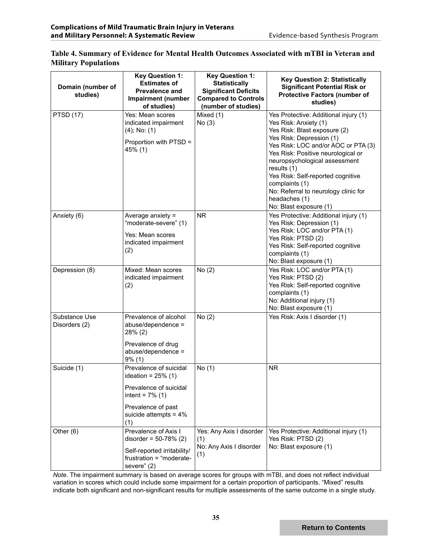<span id="page-32-0"></span>

| Table 4. Summary of Evidence for Mental Health Outcomes Associated with mTBI in Veteran and |  |
|---------------------------------------------------------------------------------------------|--|
| <b>Military Populations</b>                                                                 |  |

| Domain (number of<br>studies)  | <b>Key Question 1:</b><br><b>Estimates of</b><br><b>Prevalence and</b><br><b>Impairment (number</b><br>of studies)                                       | <b>Key Question 1:</b><br><b>Statistically</b><br><b>Significant Deficits</b><br><b>Compared to Controls</b><br>(number of studies) | <b>Key Question 2: Statistically</b><br><b>Significant Potential Risk or</b><br><b>Protective Factors (number of</b><br>studies)                                                                                                                                                                                                                                                                  |
|--------------------------------|----------------------------------------------------------------------------------------------------------------------------------------------------------|-------------------------------------------------------------------------------------------------------------------------------------|---------------------------------------------------------------------------------------------------------------------------------------------------------------------------------------------------------------------------------------------------------------------------------------------------------------------------------------------------------------------------------------------------|
| PTSD (17)                      | Yes: Mean scores<br>indicated impairment<br>$(4)$ ; No: $(1)$<br>Proportion with PTSD =<br>45% (1)                                                       | Mixed (1)<br>No(3)                                                                                                                  | Yes Protective: Additional injury (1)<br>Yes Risk: Anxiety (1)<br>Yes Risk: Blast exposure (2)<br>Yes Risk: Depression (1)<br>Yes Risk: LOC and/or AOC or PTA (3)<br>Yes Risk: Positive neurological or<br>neuropsychological assessment<br>results (1)<br>Yes Risk: Self-reported cognitive<br>complaints (1)<br>No: Referral to neurology clinic for<br>headaches (1)<br>No: Blast exposure (1) |
| Anxiety (6)                    | Average anxiety =<br>"moderate-severe" (1)<br>Yes: Mean scores<br>indicated impairment<br>(2)                                                            | <b>NR</b>                                                                                                                           | Yes Protective: Additional injury (1)<br>Yes Risk: Depression (1)<br>Yes Risk: LOC and/or PTA (1)<br>Yes Risk: PTSD (2)<br>Yes Risk: Self-reported cognitive<br>complaints (1)<br>No: Blast exposure (1)                                                                                                                                                                                          |
| Depression (8)                 | Mixed: Mean scores<br>indicated impairment<br>(2)                                                                                                        | No(2)                                                                                                                               | Yes Risk: LOC and/or PTA (1)<br>Yes Risk: PTSD (2)<br>Yes Risk: Self-reported cognitive<br>complaints (1)<br>No: Additional injury (1)<br>No: Blast exposure (1)                                                                                                                                                                                                                                  |
| Substance Use<br>Disorders (2) | Prevalence of alcohol<br>abuse/dependence =<br>28% (2)<br>Prevalence of drug<br>abuse/dependence =<br>$9\%$ (1)                                          | No(2)                                                                                                                               | Yes Risk: Axis I disorder (1)                                                                                                                                                                                                                                                                                                                                                                     |
| Suicide (1)                    | Prevalence of suicidal<br>ideation = $25\%$ (1)<br>Prevalence of suicidal<br>intent = $7\%$ (1)<br>Prevalence of past<br>suicide attempts = $4\%$<br>(1) | No(1)                                                                                                                               | <b>NR</b>                                                                                                                                                                                                                                                                                                                                                                                         |
| Other (6)                      | Prevalence of Axis I<br>disorder = $50-78%$ (2)<br>Self-reported irritability/<br>frustration = "moderate-<br>severe" (2)                                | Yes: Any Axis I disorder<br>(1)<br>No: Any Axis I disorder<br>(1)                                                                   | Yes Protective: Additional injury (1)<br>Yes Risk: PTSD (2)<br>No: Blast exposure (1)                                                                                                                                                                                                                                                                                                             |

*Note.* The impairment summary is based on average scores for groups with mTBI, and does not reflect individual variation in scores which could include some impairment for a certain proportion of participants. "Mixed" results indicate both significant and non-significant results for multiple assessments of the same outcome in a single study.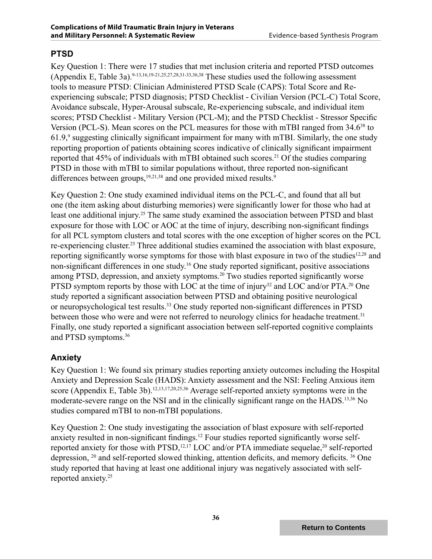#### **PTSD**

Key Question 1: There were 17 studies that met inclusion criteria and reported PTSD outcomes (Appendix E, Table 3a).  $9-13,16,19-21,25,27,28,31-33,36,38$  These studies used the following assessment tools to measure PTSD: Clinician Administered PTSD Scale (CAPS): Total Score and Reexperiencing subscale; PTSD diagnosis; PTSD Checklist - Civilian Version (PCL-C) Total Score, Avoidance subscale, Hyper-Arousal subscale, Re-experiencing subscale, and individual item scores; PTSD Checklist - Military Version (PCL-M); and the PTSD Checklist - Stressor Specific Version (PCL-S). Mean scores on the PCL measures for those with mTBI ranged from 34.638 to  $61.9$ , suggesting clinically significant impairment for many with mTBI. Similarly, the one study reporting proportion of patients obtaining scores indicative of clinically significant impairment reported that 45% of individuals with mTBI obtained such scores.21 Of the studies comparing PTSD in those with mTBI to similar populations without, three reported non-significant differences between groups,<sup>19,21,38</sup> and one provided mixed results.<sup>9</sup>

Key Question 2: One study examined individual items on the PCL-C, and found that all but one (the item asking about disturbing memories) were significantly lower for those who had at least one additional injury.25 The same study examined the association between PTSD and blast exposure for those with LOC or AOC at the time of injury, describing non-significant findings for all PCL symptom clusters and total scores with the one exception of higher scores on the PCL re-experiencing cluster.25 Three additional studies examined the association with blast exposure, reporting significantly worse symptoms for those with blast exposure in two of the studies<sup>12,28</sup> and non-significant differences in one study.<sup>16</sup> One study reported significant, positive associations among PTSD, depression, and anxiety symptoms.20 Two studies reported significantly worse PTSD symptom reports by those with LOC at the time of injury<sup>32</sup> and LOC and/or PTA.<sup>20</sup> One study reported a significant association between PTSD and obtaining positive neurological or neuropsychological test results.<sup>33</sup> One study reported non-significant differences in PTSD between those who were and were not referred to neurology clinics for headache treatment.<sup>31</sup> Finally, one study reported a significant association between self-reported cognitive complaints and PTSD symptoms.36

#### **Anxiety**

Key Question 1: We found six primary studies reporting anxiety outcomes including the Hospital Anxiety and Depression Scale (HADS): Anxiety assessment and the NSI: Feeling Anxious item score (Appendix E, Table 3b).<sup>12,13,17,20,25,36</sup> Average self-reported anxiety symptoms were in the moderate-severe range on the NSI and in the clinically significant range on the HADS.<sup>13,36</sup> No studies compared mTBI to non-mTBI populations.

Key Question 2: One study investigating the association of blast exposure with self-reported anxiety resulted in non-significant findings.12 Four studies reported significantly worse selfreported anxiety for those with PTSD,<sup>12,17</sup> LOC and/or PTA immediate sequelae,<sup>20</sup> self-reported depression, 20 and self-reported slowed thinking, attention deficits, and memory deficits. 36 One study reported that having at least one additional injury was negatively associated with selfreported anxiety.25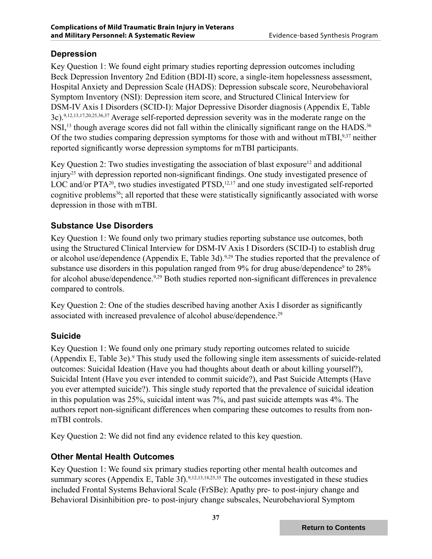### **Depression**

Key Question 1: We found eight primary studies reporting depression outcomes including Beck Depression Inventory 2nd Edition (BDI-II) score, a single-item hopelessness assessment, Hospital Anxiety and Depression Scale (HADS): Depression subscale score, Neurobehavioral Symptom Inventory (NSI): Depression item score, and Structured Clinical Interview for DSM-IV Axis I Disorders (SCID-I): Major Depressive Disorder diagnosis (Appendix E, Table 3c).9,12,13,17,20,25,36,37 Average self-reported depression severity was in the moderate range on the NSI,<sup>13</sup> though average scores did not fall within the clinically significant range on the HADS.<sup>36</sup> Of the two studies comparing depression symptoms for those with and without mTBI, $9,37$  neither reported significantly worse depression symptoms for mTBI participants.

Key Question 2: Two studies investigating the association of blast exposure<sup>12</sup> and additional injury<sup>25</sup> with depression reported non-significant findings. One study investigated presence of LOC and/or PTA<sup>20</sup>, two studies investigated PTSD,<sup>12,17</sup> and one study investigated self-reported cognitive problems<sup>36</sup>; all reported that these were statistically significantly associated with worse depression in those with mTBI.

### **Substance Use Disorders**

Key Question 1: We found only two primary studies reporting substance use outcomes, both using the Structured Clinical Interview for DSM-IV Axis I Disorders (SCID-I) to establish drug or alcohol use/dependence (Appendix E, Table 3d).<sup>9,29</sup> The studies reported that the prevalence of substance use disorders in this population ranged from 9% for drug abuse/dependence<sup>9</sup> to 28% for alcohol abuse/dependence.<sup>9,29</sup> Both studies reported non-significant differences in prevalence compared to controls.

Key Question 2: One of the studies described having another Axis I disorder as significantly associated with increased prevalence of alcohol abuse/dependence.29

#### **Suicide**

Key Question 1: We found only one primary study reporting outcomes related to suicide (Appendix E, Table 3e).<sup>9</sup> This study used the following single item assessments of suicide-related outcomes: Suicidal Ideation (Have you had thoughts about death or about killing yourself?), Suicidal Intent (Have you ever intended to commit suicide?), and Past Suicide Attempts (Have you ever attempted suicide?). This single study reported that the prevalence of suicidal ideation in this population was 25%, suicidal intent was 7%, and past suicide attempts was 4%. The authors report non-significant differences when comparing these outcomes to results from nonmTBI controls.

Key Question 2: We did not find any evidence related to this key question.

# **Other Mental Health Outcomes**

Key Question 1: We found six primary studies reporting other mental health outcomes and summary scores (Appendix E, Table 3f).<sup>9,12,13,18,25,35</sup> The outcomes investigated in these studies included Frontal Systems Behavioral Scale (FrSBe): Apathy pre- to post-injury change and Behavioral Disinhibition pre- to post-injury change subscales, Neurobehavioral Symptom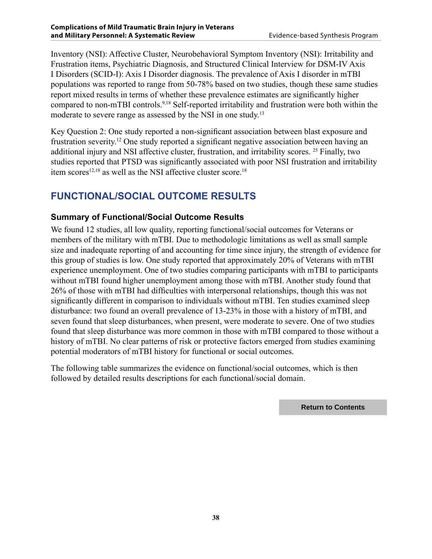<span id="page-35-0"></span>Inventory (NSI): Affective Cluster, Neurobehavioral Symptom Inventory (NSI): Irritability and Frustration items, Psychiatric Diagnosis, and Structured Clinical Interview for DSM-IV Axis I Disorders (SCID-I): Axis I Disorder diagnosis. The prevalence of Axis I disorder in mTBI populations was reported to range from 50-78% based on two studies, though these same studies report mixed results in terms of whether these prevalence estimates are significantly higher compared to non-mTBI controls.9,18 Self-reported irritability and frustration were both within the moderate to severe range as assessed by the NSI in one study.<sup>13</sup>

Key Question 2: One study reported a non-significant association between blast exposure and frustration severity.12 One study reported a significant negative association between having an additional injury and NSI affective cluster, frustration, and irritability scores. 25 Finally, two studies reported that PTSD was significantly associated with poor NSI frustration and irritability item scores<sup>12,18</sup> as well as the NSI affective cluster score.<sup>18</sup>

# **Functional/Social Outcome Results**

### **Summary of Functional/Social Outcome Results**

We found 12 studies, all low quality, reporting functional/social outcomes for Veterans or members of the military with mTBI. Due to methodologic limitations as well as small sample size and inadequate reporting of and accounting for time since injury, the strength of evidence for this group of studies is low. One study reported that approximately 20% of Veterans with mTBI experience unemployment. One of two studies comparing participants with mTBI to participants without mTBI found higher unemployment among those with mTBI. Another study found that 26% of those with mTBI had difficulties with interpersonal relationships, though this was not significantly different in comparison to individuals without mTBI. Ten studies examined sleep disturbance: two found an overall prevalence of 13-23% in those with a history of mTBI, and seven found that sleep disturbances, when present, were moderate to severe. One of two studies found that sleep disturbance was more common in those with mTBI compared to those without a history of mTBI. No clear patterns of risk or protective factors emerged from studies examining potential moderators of mTBI history for functional or social outcomes.

The following table summarizes the evidence on functional/social outcomes, which is then followed by detailed results descriptions for each functional/social domain.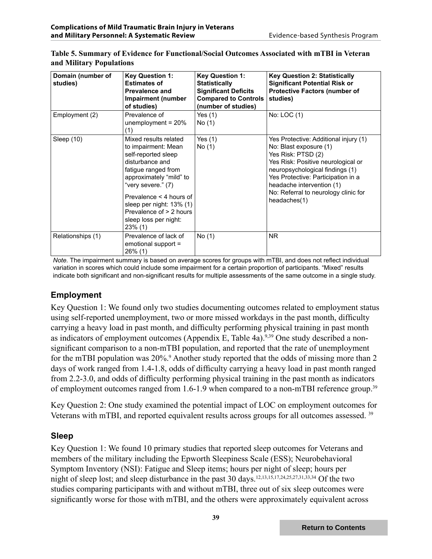| Domain (number of<br>studies) | <b>Key Question 1:</b><br><b>Estimates of</b><br><b>Prevalence and</b><br>Impairment (number<br>of studies)                                                                                                                                                                                  | <b>Key Question 1:</b><br><b>Statistically</b><br><b>Significant Deficits</b><br><b>Compared to Controls</b><br>(number of studies) | <b>Key Question 2: Statistically</b><br><b>Significant Potential Risk or</b><br><b>Protective Factors (number of</b><br>studies)                                                                                                                                                          |
|-------------------------------|----------------------------------------------------------------------------------------------------------------------------------------------------------------------------------------------------------------------------------------------------------------------------------------------|-------------------------------------------------------------------------------------------------------------------------------------|-------------------------------------------------------------------------------------------------------------------------------------------------------------------------------------------------------------------------------------------------------------------------------------------|
| Employment (2)                | Prevalence of<br>unemployment = $20%$<br>(1)                                                                                                                                                                                                                                                 | Yes $(1)$<br>No (1)                                                                                                                 | No: LOC (1)                                                                                                                                                                                                                                                                               |
| Sleep (10)                    | Mixed results related<br>to impairment: Mean<br>self-reported sleep<br>disturbance and<br>fatigue ranged from<br>approximately "mild" to<br>"very severe." (7)<br>Prevalence $\leq$ 4 hours of<br>sleep per night: 13% (1)<br>Prevalence of > 2 hours<br>sleep loss per night:<br>$23\%$ (1) | Yes $(1)$<br>No(1)                                                                                                                  | Yes Protective: Additional injury (1)<br>No: Blast exposure (1)<br>Yes Risk: PTSD (2)<br>Yes Risk: Positive neurological or<br>neuropsychological findings (1)<br>Yes Protective: Participation in a<br>headache intervention (1)<br>No: Referral to neurology clinic for<br>headaches(1) |
| Relationships (1)             | Prevalence of lack of<br>emotional support =<br>26% (1)                                                                                                                                                                                                                                      | No (1)                                                                                                                              | <b>NR</b>                                                                                                                                                                                                                                                                                 |

<span id="page-36-0"></span>**Table 5. Summary of Evidence for Functional/Social Outcomes Associated with mTBI in Veteran and Military Populations**

*Note.* The impairment summary is based on average scores for groups with mTBI, and does not reflect individual variation in scores which could include some impairment for a certain proportion of participants. "Mixed" results indicate both significant and non-significant results for multiple assessments of the same outcome in a single study.

# **Employment**

Key Question 1: We found only two studies documenting outcomes related to employment status using self-reported unemployment, two or more missed workdays in the past month, difficulty carrying a heavy load in past month, and difficulty performing physical training in past month as indicators of employment outcomes (Appendix E, Table 4a).<sup>9,39</sup> One study described a nonsignificant comparison to a non-mTBI population, and reported that the rate of unemployment for the mTBI population was 20%.<sup>9</sup> Another study reported that the odds of missing more than 2 days of work ranged from 1.4-1.8, odds of difficulty carrying a heavy load in past month ranged from 2.2-3.0, and odds of difficulty performing physical training in the past month as indicators of employment outcomes ranged from 1.6-1.9 when compared to a non-mTBI reference group.<sup>39</sup>

Key Question 2: One study examined the potential impact of LOC on employment outcomes for Veterans with mTBI, and reported equivalent results across groups for all outcomes assessed. 39

# **Sleep**

Key Question 1: We found 10 primary studies that reported sleep outcomes for Veterans and members of the military including the Epworth Sleepiness Scale (ESS); Neurobehavioral Symptom Inventory (NSI): Fatigue and Sleep items; hours per night of sleep; hours per night of sleep lost; and sleep disturbance in the past 30 days.12,13,15,17,24,25,27,31,33,34 Of the two studies comparing participants with and without mTBI, three out of six sleep outcomes were significantly worse for those with mTBI, and the others were approximately equivalent across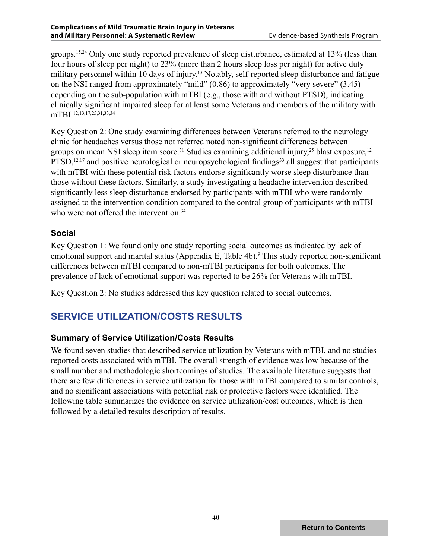<span id="page-37-0"></span>groups.15,24 Only one study reported prevalence of sleep disturbance, estimated at 13% (less than four hours of sleep per night) to 23% (more than 2 hours sleep loss per night) for active duty military personnel within 10 days of injury.<sup>15</sup> Notably, self-reported sleep disturbance and fatigue on the NSI ranged from approximately "mild" (0.86) to approximately "very severe" (3.45) depending on the sub-population with mTBI (e.g., those with and without PTSD), indicating clinically significant impaired sleep for at least some Veterans and members of the military with mTBI<sup>12,13,17,25,31,33,34</sup>

Key Question 2: One study examining differences between Veterans referred to the neurology clinic for headaches versus those not referred noted non-significant differences between groups on mean NSI sleep item score.<sup>31</sup> Studies examining additional injury,<sup>25</sup> blast exposure,<sup>12</sup> PTSD,<sup>12,17</sup> and positive neurological or neuropsychological findings<sup>33</sup> all suggest that participants with mTBI with these potential risk factors endorse significantly worse sleep disturbance than those without these factors. Similarly, a study investigating a headache intervention described significantly less sleep disturbance endorsed by participants with mTBI who were randomly assigned to the intervention condition compared to the control group of participants with mTBI who were not offered the intervention.<sup>34</sup>

#### **Social**

Key Question 1: We found only one study reporting social outcomes as indicated by lack of emotional support and marital status (Appendix E, Table 4b).<sup>9</sup> This study reported non-significant differences between mTBI compared to non-mTBI participants for both outcomes. The prevalence of lack of emotional support was reported to be 26% for Veterans with mTBI.

Key Question 2: No studies addressed this key question related to social outcomes.

# **Service Utilization/Costs Results**

# **Summary of Service Utilization/Costs Results**

We found seven studies that described service utilization by Veterans with mTBI, and no studies reported costs associated with mTBI. The overall strength of evidence was low because of the small number and methodologic shortcomings of studies. The available literature suggests that there are few differences in service utilization for those with mTBI compared to similar controls, and no significant associations with potential risk or protective factors were identified. The following table summarizes the evidence on service utilization/cost outcomes, which is then followed by a detailed results description of results.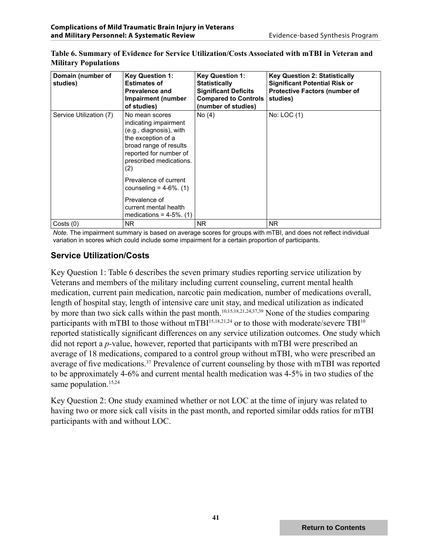| Domain (number of<br>studies) | <b>Key Question 1:</b><br><b>Estimates of</b><br><b>Prevalence and</b><br>Impairment (number<br>of studies)                                                                    | <b>Key Question 1:</b><br><b>Statistically</b><br><b>Significant Deficits</b><br><b>Compared to Controls</b><br>(number of studies) | <b>Key Question 2: Statistically</b><br><b>Significant Potential Risk or</b><br><b>Protective Factors (number of</b><br>studies) |
|-------------------------------|--------------------------------------------------------------------------------------------------------------------------------------------------------------------------------|-------------------------------------------------------------------------------------------------------------------------------------|----------------------------------------------------------------------------------------------------------------------------------|
| Service Utilization (7)       | No mean scores<br>indicating impairment<br>(e.g., diagnosis), with<br>the exception of a<br>broad range of results<br>reported for number of<br>prescribed medications.<br>(2) | No(4)                                                                                                                               | No: LOC (1)                                                                                                                      |
|                               | Prevalence of current<br>counseling = $4-6\%$ . (1)                                                                                                                            |                                                                                                                                     |                                                                                                                                  |
|                               | Prevalence of<br>current mental health<br>medications = $4-5\%$ . (1)                                                                                                          |                                                                                                                                     |                                                                                                                                  |
| Costs(0)                      | NR.                                                                                                                                                                            | NR.                                                                                                                                 | <b>NR</b>                                                                                                                        |

<span id="page-38-0"></span>**Table 6. Summary of Evidence for Service Utilization/Costs Associated with mTBI in Veteran and Military Populations**

*Note.* The impairment summary is based on average scores for groups with mTBI, and does not reflect individual variation in scores which could include some impairment for a certain proportion of participants.

### **Service Utilization/Costs**

Key Question 1: Table 6 describes the seven primary studies reporting service utilization by Veterans and members of the military including current counseling, current mental health medication, current pain medication, narcotic pain medication, number of medications overall, length of hospital stay, length of intensive care unit stay, and medical utilization as indicated by more than two sick calls within the past month.10,15,18,21,24,37,39 None of the studies comparing participants with mTBI to those without mTBI<sup>15,18,21,24</sup> or to those with moderate/severe TBI<sup>10</sup> reported statistically significant differences on any service utilization outcomes. One study which did not report a *p-*value, however, reported that participants with mTBI were prescribed an average of 18 medications, compared to a control group without mTBI, who were prescribed an average of five medications.<sup>37</sup> Prevalence of current counseling by those with mTBI was reported to be approximately 4-6% and current mental health medication was 4-5% in two studies of the same population.<sup>15,24</sup>

Key Question 2: One study examined whether or not LOC at the time of injury was related to having two or more sick call visits in the past month, and reported similar odds ratios for mTBI participants with and without LOC.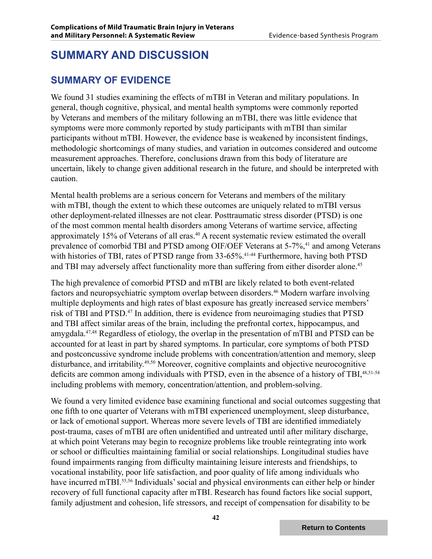# <span id="page-39-0"></span>**SUMMARY AND DISCUSSION**

# **SUMMARY OF EVIDENCE**

We found 31 studies examining the effects of mTBI in Veteran and military populations. In general, though cognitive, physical, and mental health symptoms were commonly reported by Veterans and members of the military following an mTBI, there was little evidence that symptoms were more commonly reported by study participants with mTBI than similar participants without mTBI. However, the evidence base is weakened by inconsistent findings, methodologic shortcomings of many studies, and variation in outcomes considered and outcome measurement approaches. Therefore, conclusions drawn from this body of literature are uncertain, likely to change given additional research in the future, and should be interpreted with caution.

Mental health problems are a serious concern for Veterans and members of the military with mTBI, though the extent to which these outcomes are uniquely related to mTBI versus other deployment-related illnesses are not clear. Posttraumatic stress disorder (PTSD) is one of the most common mental health disorders among Veterans of wartime service, affecting approximately 15% of Veterans of all eras.<sup>40</sup> A recent systematic review estimated the overall prevalence of comorbid TBI and PTSD among OIF/OEF Veterans at 5-7%,<sup>41</sup> and among Veterans with histories of TBI, rates of PTSD range from 33-65%.<sup>41-44</sup> Furthermore, having both PTSD and TBI may adversely affect functionality more than suffering from either disorder alone.<sup>45</sup>

The high prevalence of comorbid PTSD and mTBI are likely related to both event-related factors and neuropsychiatric symptom overlap between disorders.46 Modern warfare involving multiple deployments and high rates of blast exposure has greatly increased service members' risk of TBI and PTSD.47 In addition, there is evidence from neuroimaging studies that PTSD and TBI affect similar areas of the brain, including the prefrontal cortex, hippocampus, and amygdala.47,48 Regardless of etiology, the overlap in the presentation of mTBI and PTSD can be accounted for at least in part by shared symptoms. In particular, core symptoms of both PTSD and postconcussive syndrome include problems with concentration/attention and memory, sleep disturbance, and irritability.<sup>49,50</sup> Moreover, cognitive complaints and objective neurocognitive deficits are common among individuals with PTSD, even in the absence of a history of TBI, 48,51-54 including problems with memory, concentration/attention, and problem-solving.

We found a very limited evidence base examining functional and social outcomes suggesting that one fifth to one quarter of Veterans with mTBI experienced unemployment, sleep disturbance, or lack of emotional support. Whereas more severe levels of TBI are identified immediately post-trauma, cases of mTBI are often unidentified and untreated until after military discharge, at which point Veterans may begin to recognize problems like trouble reintegrating into work or school or difficulties maintaining familial or social relationships. Longitudinal studies have found impairments ranging from difficulty maintaining leisure interests and friendships, to vocational instability, poor life satisfaction, and poor quality of life among individuals who have incurred mTBI.<sup>55,56</sup> Individuals' social and physical environments can either help or hinder recovery of full functional capacity after mTBI. Research has found factors like social support, family adjustment and cohesion, life stressors, and receipt of compensation for disability to be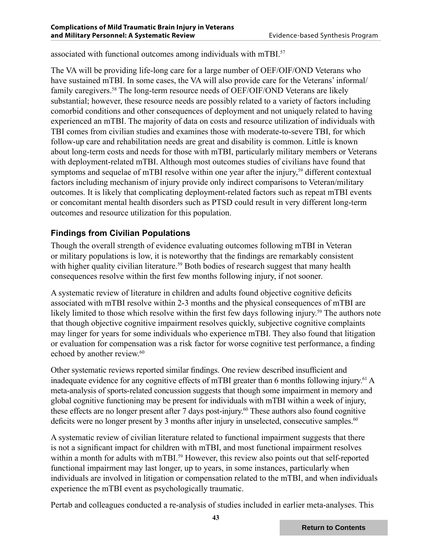associated with functional outcomes among individuals with mTBI.<sup>57</sup>

The VA will be providing life-long care for a large number of OEF/OIF/OND Veterans who have sustained mTBI. In some cases, the VA will also provide care for the Veterans' informal/ family caregivers.58 The long-term resource needs of OEF/OIF/OND Veterans are likely substantial; however, these resource needs are possibly related to a variety of factors including comorbid conditions and other consequences of deployment and not uniquely related to having experienced an mTBI. The majority of data on costs and resource utilization of individuals with TBI comes from civilian studies and examines those with moderate-to-severe TBI, for which follow-up care and rehabilitation needs are great and disability is common. Little is known about long-term costs and needs for those with mTBI, particularly military members or Veterans with deployment-related mTBI. Although most outcomes studies of civilians have found that symptoms and sequelae of mTBI resolve within one year after the injury,<sup>59</sup> different contextual factors including mechanism of injury provide only indirect comparisons to Veteran/military outcomes. It is likely that complicating deployment-related factors such as repeat mTBI events or concomitant mental health disorders such as PTSD could result in very different long-term outcomes and resource utilization for this population.

# **Findings from Civilian Populations**

Though the overall strength of evidence evaluating outcomes following mTBI in Veteran or military populations is low, it is noteworthy that the findings are remarkably consistent with higher quality civilian literature.<sup>59</sup> Both bodies of research suggest that many health consequences resolve within the first few months following injury, if not sooner.

A systematic review of literature in children and adults found objective cognitive deficits associated with mTBI resolve within 2-3 months and the physical consequences of mTBI are likely limited to those which resolve within the first few days following injury.<sup>59</sup> The authors note that though objective cognitive impairment resolves quickly, subjective cognitive complaints may linger for years for some individuals who experience mTBI. They also found that litigation or evaluation for compensation was a risk factor for worse cognitive test performance, a finding echoed by another review.<sup>60</sup>

Other systematic reviews reported similar findings. One review described insufficient and inadequate evidence for any cognitive effects of mTBI greater than 6 months following injury.<sup>61</sup> A meta-analysis of sports-related concussion suggests that though some impairment in memory and global cognitive functioning may be present for individuals with mTBI within a week of injury, these effects are no longer present after 7 days post-injury.<sup>60</sup> These authors also found cognitive deficits were no longer present by 3 months after injury in unselected, consecutive samples.<sup>60</sup>

A systematic review of civilian literature related to functional impairment suggests that there is not a significant impact for children with mTBI, and most functional impairment resolves within a month for adults with mTBI.<sup>59</sup> However, this review also points out that self-reported functional impairment may last longer, up to years, in some instances, particularly when individuals are involved in litigation or compensation related to the mTBI, and when individuals experience the mTBI event as psychologically traumatic.

Pertab and colleagues conducted a re-analysis of studies included in earlier meta-analyses. This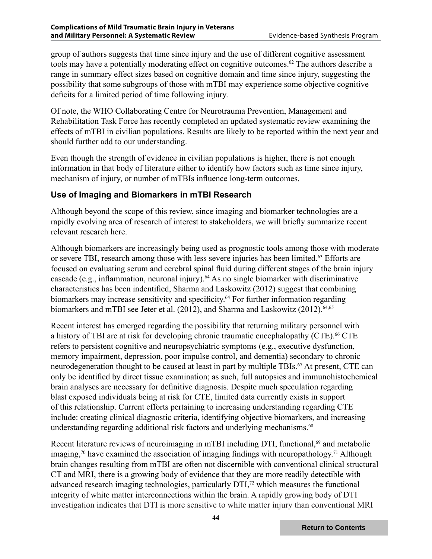group of authors suggests that time since injury and the use of different cognitive assessment tools may have a potentially moderating effect on cognitive outcomes.<sup>62</sup> The authors describe a range in summary effect sizes based on cognitive domain and time since injury, suggesting the possibility that some subgroups of those with mTBI may experience some objective cognitive deficits for a limited period of time following injury.

Of note, the WHO Collaborating Centre for Neurotrauma Prevention, Management and Rehabilitation Task Force has recently completed an updated systematic review examining the effects of mTBI in civilian populations. Results are likely to be reported within the next year and should further add to our understanding.

Even though the strength of evidence in civilian populations is higher, there is not enough information in that body of literature either to identify how factors such as time since injury, mechanism of injury, or number of mTBIs influence long-term outcomes.

#### **Use of Imaging and Biomarkers in mTBI Research**

Although beyond the scope of this review, since imaging and biomarker technologies are a rapidly evolving area of research of interest to stakeholders, we will briefly summarize recent relevant research here.

Although biomarkers are increasingly being used as prognostic tools among those with moderate or severe TBI, research among those with less severe injuries has been limited.<sup>63</sup> Efforts are focused on evaluating serum and cerebral spinal fluid during different stages of the brain injury cascade (e.g., inflammation, neuronal injury).64 As no single biomarker with discriminative characteristics has been indentified, Sharma and Laskowitz (2012) suggest that combining biomarkers may increase sensitivity and specificity.<sup>64</sup> For further information regarding biomarkers and mTBI see Jeter et al.  $(2012)$ , and Sharma and Laskowitz  $(2012)$ .<sup>64,65</sup>

Recent interest has emerged regarding the possibility that returning military personnel with a history of TBI are at risk for developing chronic traumatic encephalopathy (CTE).<sup>66</sup> CTE refers to persistent cognitive and neuropsychiatric symptoms (e.g., executive dysfunction, memory impairment, depression, poor impulse control, and dementia) secondary to chronic neurodegeneration thought to be caused at least in part by multiple TBIs.<sup>67</sup> At present, CTE can only be identified by direct tissue examination; as such, full autopsies and immunohistochemical brain analyses are necessary for definitive diagnosis. Despite much speculation regarding blast exposed individuals being at risk for CTE, limited data currently exists in support of this relationship. Current efforts pertaining to increasing understanding regarding CTE include: creating clinical diagnostic criteria, identifying objective biomarkers, and increasing understanding regarding additional risk factors and underlying mechanisms.<sup>68</sup>

Recent literature reviews of neuroimaging in mTBI including DTI, functional,<sup>69</sup> and metabolic imaging,<sup>70</sup> have examined the association of imaging findings with neuropathology.<sup>71</sup> Although brain changes resulting from mTBI are often not discernible with conventional clinical structural CT and MRI, there is a growing body of evidence that they are more readily detectible with advanced research imaging technologies, particularly DTI,72 which measures the functional integrity of white matter interconnections within the brain. A rapidly growing body of DTI investigation indicates that DTI is more sensitive to white matter injury than conventional MRI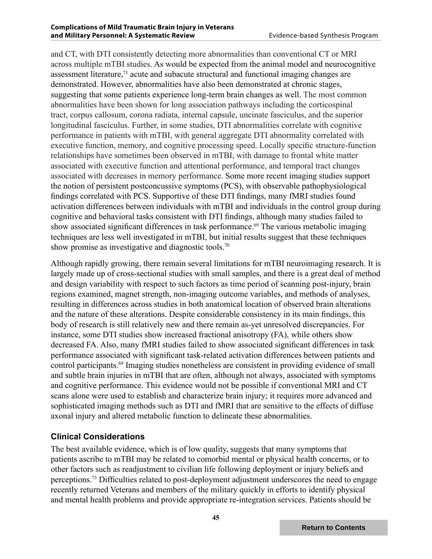and CT, with DTI consistently detecting more abnormalities than conventional CT or MRI across multiple mTBI studies. As would be expected from the animal model and neurocognitive assessment literature,<sup>71</sup> acute and subacute structural and functional imaging changes are demonstrated. However, abnormalities have also been demonstrated at chronic stages, suggesting that some patients experience long-term brain changes as well. The most common abnormalities have been shown for long association pathways including the corticospinal tract, corpus callosum, corona radiata, internal capsule, uncinate fasciculus, and the superior longitudinal fasciculus. Further, in some studies, DTI abnormalities correlate with cognitive performance in patients with mTBI, with general aggregate DTI abnormality correlated with executive function, memory, and cognitive processing speed. Locally specific structure-function relationships have sometimes been observed in mTBI, with damage to frontal white matter associated with executive function and attentional performance, and temporal tract changes associated with decreases in memory performance. Some more recent imaging studies support the notion of persistent postconcussive symptoms (PCS), with observable pathophysiological findings correlated with PCS. Supportive of these DTI findings, many fMRI studies found activation differences between individuals with mTBI and individuals in the control group during cognitive and behavioral tasks consistent with DTI findings, although many studies failed to show associated significant differences in task performance.<sup>69</sup> The various metabolic imaging techniques are less well investigated in mTBI, but initial results suggest that these techniques show promise as investigative and diagnostic tools.<sup>70</sup>

Although rapidly growing, there remain several limitations for mTBI neuroimaging research. It is largely made up of cross-sectional studies with small samples, and there is a great deal of method and design variability with respect to such factors as time period of scanning post-injury, brain regions examined, magnet strength, non-imaging outcome variables, and methods of analyses, resulting in differences across studies in both anatomical location of observed brain alterations and the nature of these alterations. Despite considerable consistency in its main findings, this body of research is still relatively new and there remain as-yet unresolved discrepancies. For instance, some DTI studies show increased fractional anisotropy (FA), while others show decreased FA. Also, many fMRI studies failed to show associated significant differences in task performance associated with significant task-related activation differences between patients and control participants.69 Imaging studies nonetheless are consistent in providing evidence of small and subtle brain injuries in mTBI that are often, although not always, associated with symptoms and cognitive performance. This evidence would not be possible if conventional MRI and CT scans alone were used to establish and characterize brain injury; it requires more advanced and sophisticated imaging methods such as DTI and fMRI that are sensitive to the effects of diffuse axonal injury and altered metabolic function to delineate these abnormalities.

#### **Clinical Considerations**

The best available evidence, which is of low quality, suggests that many symptoms that patients ascribe to mTBI may be related to comorbid mental or physical health concerns, or to other factors such as readjustment to civilian life following deployment or injury beliefs and perceptions.73 Difficulties related to post-deployment adjustment underscores the need to engage recently returned Veterans and members of the military quickly in efforts to identify physical and mental health problems and provide appropriate re-integration services. Patients should be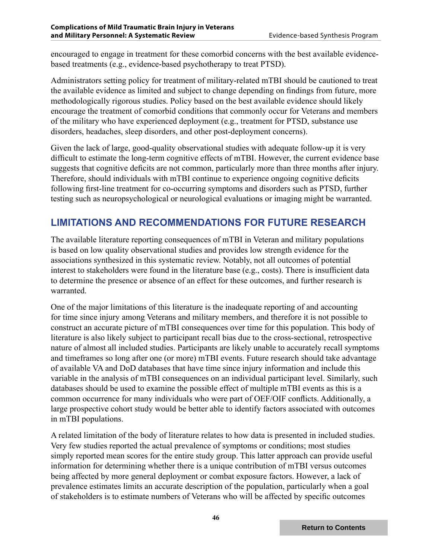<span id="page-43-0"></span>encouraged to engage in treatment for these comorbid concerns with the best available evidencebased treatments (e.g., evidence-based psychotherapy to treat PTSD).

Administrators setting policy for treatment of military-related mTBI should be cautioned to treat the available evidence as limited and subject to change depending on findings from future, more methodologically rigorous studies. Policy based on the best available evidence should likely encourage the treatment of comorbid conditions that commonly occur for Veterans and members of the military who have experienced deployment (e.g., treatment for PTSD, substance use disorders, headaches, sleep disorders, and other post-deployment concerns).

Given the lack of large, good-quality observational studies with adequate follow-up it is very difficult to estimate the long-term cognitive effects of mTBI. However, the current evidence base suggests that cognitive deficits are not common, particularly more than three months after injury. Therefore, should individuals with mTBI continue to experience ongoing cognitive deficits following first-line treatment for co-occurring symptoms and disorders such as PTSD, further testing such as neuropsychological or neurological evaluations or imaging might be warranted.

# **LIMITATIONS AND RECOMMENDATIONS FOR FUTURE RESEARCH**

The available literature reporting consequences of mTBI in Veteran and military populations is based on low quality observational studies and provides low strength evidence for the associations synthesized in this systematic review. Notably, not all outcomes of potential interest to stakeholders were found in the literature base (e.g., costs). There is insufficient data to determine the presence or absence of an effect for these outcomes, and further research is warranted.

One of the major limitations of this literature is the inadequate reporting of and accounting for time since injury among Veterans and military members, and therefore it is not possible to construct an accurate picture of mTBI consequences over time for this population. This body of literature is also likely subject to participant recall bias due to the cross-sectional, retrospective nature of almost all included studies. Participants are likely unable to accurately recall symptoms and timeframes so long after one (or more) mTBI events. Future research should take advantage of available VA and DoD databases that have time since injury information and include this variable in the analysis of mTBI consequences on an individual participant level. Similarly, such databases should be used to examine the possible effect of multiple mTBI events as this is a common occurrence for many individuals who were part of OEF/OIF conflicts. Additionally, a large prospective cohort study would be better able to identify factors associated with outcomes in mTBI populations.

A related limitation of the body of literature relates to how data is presented in included studies. Very few studies reported the actual prevalence of symptoms or conditions; most studies simply reported mean scores for the entire study group. This latter approach can provide useful information for determining whether there is a unique contribution of mTBI versus outcomes being affected by more general deployment or combat exposure factors. However, a lack of prevalence estimates limits an accurate description of the population, particularly when a goal of stakeholders is to estimate numbers of Veterans who will be affected by specific outcomes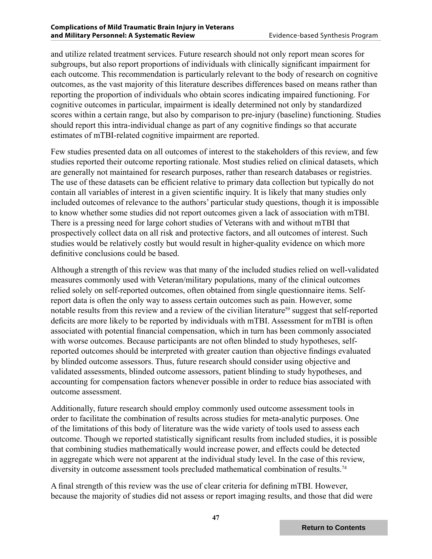and utilize related treatment services. Future research should not only report mean scores for subgroups, but also report proportions of individuals with clinically significant impairment for each outcome. This recommendation is particularly relevant to the body of research on cognitive outcomes, as the vast majority of this literature describes differences based on means rather than reporting the proportion of individuals who obtain scores indicating impaired functioning. For cognitive outcomes in particular, impairment is ideally determined not only by standardized scores within a certain range, but also by comparison to pre-injury (baseline) functioning. Studies should report this intra-individual change as part of any cognitive findings so that accurate estimates of mTBI-related cognitive impairment are reported.

Few studies presented data on all outcomes of interest to the stakeholders of this review, and few studies reported their outcome reporting rationale. Most studies relied on clinical datasets, which are generally not maintained for research purposes, rather than research databases or registries. The use of these datasets can be efficient relative to primary data collection but typically do not contain all variables of interest in a given scientific inquiry. It is likely that many studies only included outcomes of relevance to the authors' particular study questions, though it is impossible to know whether some studies did not report outcomes given a lack of association with mTBI. There is a pressing need for large cohort studies of Veterans with and without mTBI that prospectively collect data on all risk and protective factors, and all outcomes of interest. Such studies would be relatively costly but would result in higher-quality evidence on which more definitive conclusions could be based.

Although a strength of this review was that many of the included studies relied on well-validated measures commonly used with Veteran/military populations, many of the clinical outcomes relied solely on self-reported outcomes, often obtained from single questionnaire items. Selfreport data is often the only way to assess certain outcomes such as pain. However, some notable results from this review and a review of the civilian literature<sup>59</sup> suggest that self-reported deficits are more likely to be reported by individuals with mTBI. Assessment for mTBI is often associated with potential financial compensation, which in turn has been commonly associated with worse outcomes. Because participants are not often blinded to study hypotheses, selfreported outcomes should be interpreted with greater caution than objective findings evaluated by blinded outcome assessors. Thus, future research should consider using objective and validated assessments, blinded outcome assessors, patient blinding to study hypotheses, and accounting for compensation factors whenever possible in order to reduce bias associated with outcome assessment.

Additionally, future research should employ commonly used outcome assessment tools in order to facilitate the combination of results across studies for meta-analytic purposes. One of the limitations of this body of literature was the wide variety of tools used to assess each outcome. Though we reported statistically significant results from included studies, it is possible that combining studies mathematically would increase power, and effects could be detected in aggregate which were not apparent at the individual study level. In the case of this review, diversity in outcome assessment tools precluded mathematical combination of results.<sup>74</sup>

A final strength of this review was the use of clear criteria for defining mTBI. However, because the majority of studies did not assess or report imaging results, and those that did were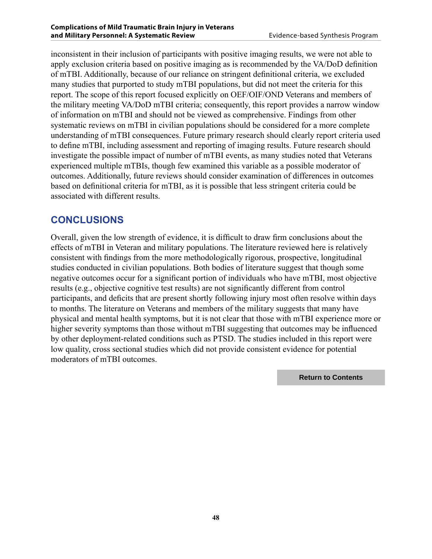<span id="page-45-0"></span>inconsistent in their inclusion of participants with positive imaging results, we were not able to apply exclusion criteria based on positive imaging as is recommended by the VA/DoD definition of mTBI. Additionally, because of our reliance on stringent definitional criteria, we excluded many studies that purported to study mTBI populations, but did not meet the criteria for this report. The scope of this report focused explicitly on OEF/OIF/OND Veterans and members of the military meeting VA/DoD mTBI criteria; consequently, this report provides a narrow window of information on mTBI and should not be viewed as comprehensive. Findings from other systematic reviews on mTBI in civilian populations should be considered for a more complete understanding of mTBI consequences. Future primary research should clearly report criteria used to define mTBI, including assessment and reporting of imaging results. Future research should investigate the possible impact of number of mTBI events, as many studies noted that Veterans experienced multiple mTBIs, though few examined this variable as a possible moderator of outcomes. Additionally, future reviews should consider examination of differences in outcomes based on definitional criteria for mTBI, as it is possible that less stringent criteria could be associated with different results.

# **CONCLUSIONS**

Overall, given the low strength of evidence, it is difficult to draw firm conclusions about the effects of mTBI in Veteran and military populations. The literature reviewed here is relatively consistent with findings from the more methodologically rigorous, prospective, longitudinal studies conducted in civilian populations. Both bodies of literature suggest that though some negative outcomes occur for a significant portion of individuals who have mTBI, most objective results (e.g., objective cognitive test results) are not significantly different from control participants, and deficits that are present shortly following injury most often resolve within days to months. The literature on Veterans and members of the military suggests that many have physical and mental health symptoms, but it is not clear that those with mTBI experience more or higher severity symptoms than those without mTBI suggesting that outcomes may be influenced by other deployment-related conditions such as PTSD. The studies included in this report were low quality, cross sectional studies which did not provide consistent evidence for potential moderators of mTBI outcomes.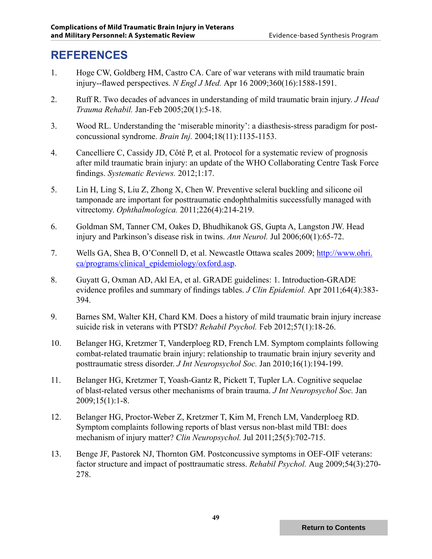# <span id="page-46-0"></span>**REFERENCES**

- 1. Hoge CW, Goldberg HM, Castro CA. Care of war veterans with mild traumatic brain injury--flawed perspectives. *N Engl J Med.* Apr 16 2009;360(16):1588-1591.
- 2. Ruff R. Two decades of advances in understanding of mild traumatic brain injury. *J Head Trauma Rehabil.* Jan-Feb 2005;20(1):5-18.
- 3. Wood RL. Understanding the 'miserable minority': a diasthesis-stress paradigm for postconcussional syndrome. *Brain Inj.* 2004;18(11):1135-1153.
- 4. Cancelliere C, Cassidy JD, Côté P, et al. Protocol for a systematic review of prognosis after mild traumatic brain injury: an update of the WHO Collaborating Centre Task Force findings. *Systematic Reviews.* 2012;1:17.
- 5. Lin H, Ling S, Liu Z, Zhong X, Chen W. Preventive scleral buckling and silicone oil tamponade are important for posttraumatic endophthalmitis successfully managed with vitrectomy. *Ophthalmologica.* 2011;226(4):214-219.
- 6. Goldman SM, Tanner CM, Oakes D, Bhudhikanok GS, Gupta A, Langston JW. Head injury and Parkinson's disease risk in twins. *Ann Neurol.* Jul 2006;60(1):65-72.
- 7. Wells GA, Shea B, O'Connell D, et al. Newcastle Ottawa scales 2009; http://www.ohri. ca/programs/clinical\_epidemiology/oxford.asp.
- 8. Guyatt G, Oxman AD, Akl EA, et al. GRADE guidelines: 1. Introduction-GRADE evidence profiles and summary of findings tables. *J Clin Epidemiol.* Apr 2011;64(4):383- 394.
- 9. Barnes SM, Walter KH, Chard KM. Does a history of mild traumatic brain injury increase suicide risk in veterans with PTSD? *Rehabil Psychol.* Feb 2012;57(1):18-26.
- 10. Belanger HG, Kretzmer T, Vanderploeg RD, French LM. Symptom complaints following combat-related traumatic brain injury: relationship to traumatic brain injury severity and posttraumatic stress disorder. *J Int Neuropsychol Soc.* Jan 2010;16(1):194-199.
- 11. Belanger HG, Kretzmer T, Yoash-Gantz R, Pickett T, Tupler LA. Cognitive sequelae of blast-related versus other mechanisms of brain trauma. *J Int Neuropsychol Soc.* Jan 2009;15(1):1-8.
- 12. Belanger HG, Proctor-Weber Z, Kretzmer T, Kim M, French LM, Vanderploeg RD. Symptom complaints following reports of blast versus non-blast mild TBI: does mechanism of injury matter? *Clin Neuropsychol.* Jul 2011;25(5):702-715.
- 13. Benge JF, Pastorek NJ, Thornton GM. Postconcussive symptoms in OEF-OIF veterans: factor structure and impact of posttraumatic stress. *Rehabil Psychol.* Aug 2009;54(3):270- 278.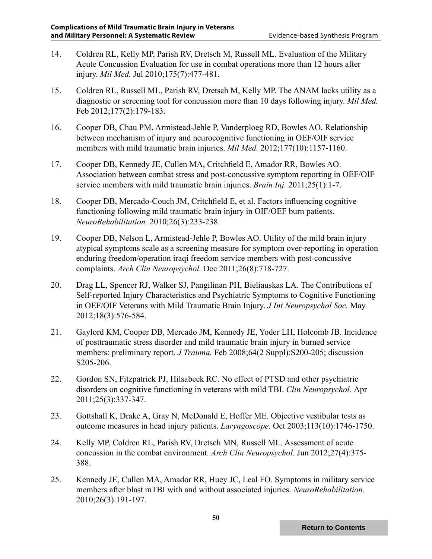- 14. Coldren RL, Kelly MP, Parish RV, Dretsch M, Russell ML. Evaluation of the Military Acute Concussion Evaluation for use in combat operations more than 12 hours after injury. *Mil Med.* Jul 2010;175(7):477-481.
- 15. Coldren RL, Russell ML, Parish RV, Dretsch M, Kelly MP. The ANAM lacks utility as a diagnostic or screening tool for concussion more than 10 days following injury. *Mil Med.*  Feb 2012;177(2):179-183.
- 16. Cooper DB, Chau PM, Armistead-Jehle P, Vanderploeg RD, Bowles AO. Relationship between mechanism of injury and neurocognitive functioning in OEF/OIF service members with mild traumatic brain injuries. *Mil Med.* 2012;177(10):1157-1160.
- 17. Cooper DB, Kennedy JE, Cullen MA, Critchfield E, Amador RR, Bowles AO. Association between combat stress and post-concussive symptom reporting in OEF/OIF service members with mild traumatic brain injuries. *Brain Inj.* 2011;25(1):1-7.
- 18. Cooper DB, Mercado-Couch JM, Critchfield E, et al. Factors influencing cognitive functioning following mild traumatic brain injury in OIF/OEF burn patients. *NeuroRehabilitation.* 2010;26(3):233-238.
- 19. Cooper DB, Nelson L, Armistead-Jehle P, Bowles AO. Utility of the mild brain injury atypical symptoms scale as a screening measure for symptom over-reporting in operation enduring freedom/operation iraqi freedom service members with post-concussive complaints. *Arch Clin Neuropsychol.* Dec 2011;26(8):718-727.
- 20. Drag LL, Spencer RJ, Walker SJ, Pangilinan PH, Bieliauskas LA. The Contributions of Self-reported Injury Characteristics and Psychiatric Symptoms to Cognitive Functioning in OEF/OIF Veterans with Mild Traumatic Brain Injury. *J Int Neuropsychol Soc.* May 2012;18(3):576-584.
- 21. Gaylord KM, Cooper DB, Mercado JM, Kennedy JE, Yoder LH, Holcomb JB. Incidence of posttraumatic stress disorder and mild traumatic brain injury in burned service members: preliminary report. *J Trauma.* Feb 2008;64(2 Suppl):S200-205; discussion S205-206.
- 22. Gordon SN, Fitzpatrick PJ, Hilsabeck RC. No effect of PTSD and other psychiatric disorders on cognitive functioning in veterans with mild TBI. *Clin Neuropsychol.* Apr 2011;25(3):337-347.
- 23. Gottshall K, Drake A, Gray N, McDonald E, Hoffer ME. Objective vestibular tests as outcome measures in head injury patients. *Laryngoscope.* Oct 2003;113(10):1746-1750.
- 24. Kelly MP, Coldren RL, Parish RV, Dretsch MN, Russell ML. Assessment of acute concussion in the combat environment. *Arch Clin Neuropsychol.* Jun 2012;27(4):375- 388.
- 25. Kennedy JE, Cullen MA, Amador RR, Huey JC, Leal FO. Symptoms in military service members after blast mTBI with and without associated injuries. *NeuroRehabilitation.*  2010;26(3):191-197.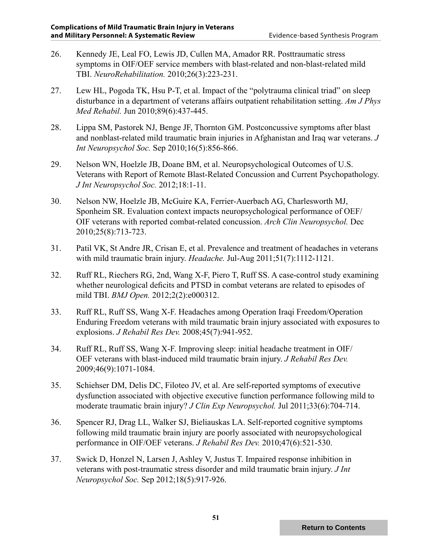- 26. Kennedy JE, Leal FO, Lewis JD, Cullen MA, Amador RR. Posttraumatic stress symptoms in OIF/OEF service members with blast-related and non-blast-related mild TBI. *NeuroRehabilitation.* 2010;26(3):223-231.
- 27. Lew HL, Pogoda TK, Hsu P-T, et al. Impact of the "polytrauma clinical triad" on sleep disturbance in a department of veterans affairs outpatient rehabilitation setting. *Am J Phys Med Rehabil.* Jun 2010;89(6):437-445.
- 28. Lippa SM, Pastorek NJ, Benge JF, Thornton GM. Postconcussive symptoms after blast and nonblast-related mild traumatic brain injuries in Afghanistan and Iraq war veterans. *J Int Neuropsychol Soc.* Sep 2010;16(5):856-866.
- 29. Nelson WN, Hoelzle JB, Doane BM, et al. Neuropsychological Outcomes of U.S. Veterans with Report of Remote Blast-Related Concussion and Current Psychopathology. *J Int Neuropsychol Soc.* 2012;18:1-11.
- 30. Nelson NW, Hoelzle JB, McGuire KA, Ferrier-Auerbach AG, Charlesworth MJ, Sponheim SR. Evaluation context impacts neuropsychological performance of OEF/ OIF veterans with reported combat-related concussion. *Arch Clin Neuropsychol.* Dec 2010;25(8):713-723.
- 31. Patil VK, St Andre JR, Crisan E, et al. Prevalence and treatment of headaches in veterans with mild traumatic brain injury. *Headache*. Jul-Aug 2011;51(7):1112-1121.
- 32. Ruff RL, Riechers RG, 2nd, Wang X-F, Piero T, Ruff SS. A case-control study examining whether neurological deficits and PTSD in combat veterans are related to episodes of mild TBI. *BMJ Open.* 2012;2(2):e000312.
- 33. Ruff RL, Ruff SS, Wang X-F. Headaches among Operation Iraqi Freedom/Operation Enduring Freedom veterans with mild traumatic brain injury associated with exposures to explosions. *J Rehabil Res Dev.* 2008;45(7):941-952.
- 34. Ruff RL, Ruff SS, Wang X-F. Improving sleep: initial headache treatment in OIF/ OEF veterans with blast-induced mild traumatic brain injury. *J Rehabil Res Dev.*  2009;46(9):1071-1084.
- 35. Schiehser DM, Delis DC, Filoteo JV, et al. Are self-reported symptoms of executive dysfunction associated with objective executive function performance following mild to moderate traumatic brain injury? *J Clin Exp Neuropsychol.* Jul 2011;33(6):704-714.
- 36. Spencer RJ, Drag LL, Walker SJ, Bieliauskas LA. Self-reported cognitive symptoms following mild traumatic brain injury are poorly associated with neuropsychological performance in OIF/OEF veterans. *J Rehabil Res Dev.* 2010;47(6):521-530.
- 37. Swick D, Honzel N, Larsen J, Ashley V, Justus T. Impaired response inhibition in veterans with post-traumatic stress disorder and mild traumatic brain injury. *J Int Neuropsychol Soc.* Sep 2012;18(5):917-926.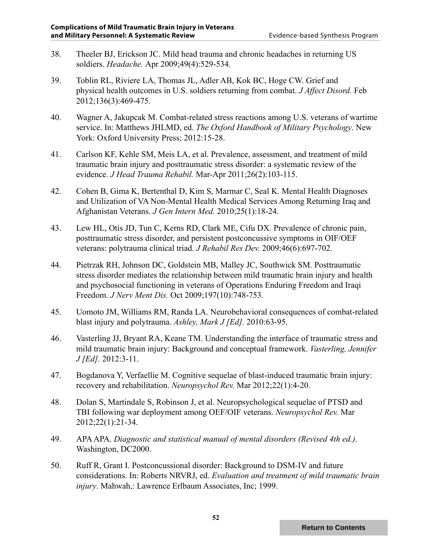- 38. Theeler BJ, Erickson JC. Mild head trauma and chronic headaches in returning US soldiers. *Headache.* Apr 2009;49(4):529-534.
- 39. Toblin RL, Riviere LA, Thomas JL, Adler AB, Kok BC, Hoge CW. Grief and physical health outcomes in U.S. soldiers returning from combat. *J Affect Disord.* Feb 2012;136(3):469-475.
- 40. Wagner A, Jakupcak M. Combat-related stress reactions among U.S. veterans of wartime service. In: Matthews JHLMD, ed. *The Oxford Handbook of Military Psychology*. New York: Oxford University Press; 2012:15-28.
- 41. Carlson KF, Kehle SM, Meis LA, et al. Prevalence, assessment, and treatment of mild traumatic brain injury and posttraumatic stress disorder: a systematic review of the evidence. *J Head Trauma Rehabil.* Mar-Apr 2011;26(2):103-115.
- 42. Cohen B, Gima K, Bertenthal D, Kim S, Marmar C, Seal K. Mental Health Diagnoses and Utilization of VA Non-Mental Health Medical Services Among Returning Iraq and Afghanistan Veterans. *J Gen Intern Med.* 2010;25(1):18-24.
- 43. Lew HL, Otis JD, Tun C, Kerns RD, Clark ME, Cifu DX. Prevalence of chronic pain, posttraumatic stress disorder, and persistent postconcussive symptoms in OIF/OEF veterans: polytrauma clinical triad. *J Rehabil Res Dev.* 2009;46(6):697-702.
- 44. Pietrzak RH, Johnson DC, Goldstein MB, Malley JC, Southwick SM. Posttraumatic stress disorder mediates the relationship between mild traumatic brain injury and health and psychosocial functioning in veterans of Operations Enduring Freedom and Iraqi Freedom. *J Nerv Ment Dis.* Oct 2009;197(10):748-753.
- 45. Uomoto JM, Williams RM, Randa LA. Neurobehavioral consequences of combat-related blast injury and polytrauma. *Ashley, Mark J [Ed].* 2010:63-95.
- 46. Vasterling JJ, Bryant RA, Keane TM. Understanding the interface of traumatic stress and mild traumatic brain injury: Background and conceptual framework. *Vasterling, Jennifer J [Ed].* 2012:3-11.
- 47. Bogdanova Y, Verfaellie M. Cognitive sequelae of blast-induced traumatic brain injury: recovery and rehabilitation. *Neuropsychol Rev.* Mar 2012;22(1):4-20.
- 48. Dolan S, Martindale S, Robinson J, et al. Neuropsychological sequelae of PTSD and TBI following war deployment among OEF/OIF veterans. *Neuropsychol Rev.* Mar 2012;22(1):21-34.
- 49. APA APA. *Diagnostic and statistical manual of mental disorders (Revised 4th ed.)*. Washington, DC2000.
- 50. Ruff R, Grant I. Postconcussional disorder: Background to DSM-IV and future considerations. In: Roberts NRVRJ, ed. *Evaluation and treatment of mild traumatic brain injury*. Mahwah,: Lawrence Erlbaum Associates, Inc; 1999.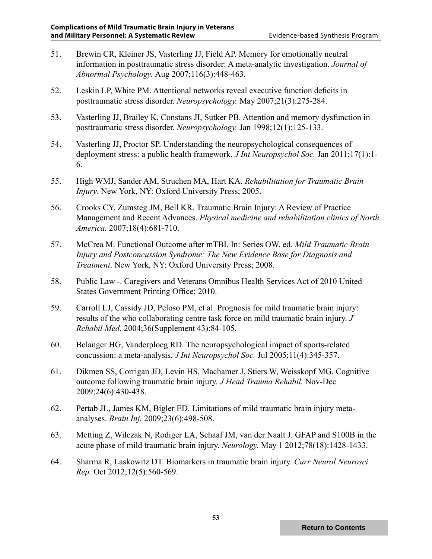- 51. Brewin CR, Kleiner JS, Vasterling JJ, Field AP. Memory for emotionally neutral information in posttraumatic stress disorder: A meta-analytic investigation. *Journal of Abnormal Psychology.* Aug 2007;116(3):448-463.
- 52. Leskin LP, White PM. Attentional networks reveal executive function deficits in posttraumatic stress disorder. *Neuropsychology.* May 2007;21(3):275-284.
- 53. Vasterling JJ, Brailey K, Constans JI, Sutker PB. Attention and memory dysfunction in posttraumatic stress disorder. *Neuropsychology.* Jan 1998;12(1):125-133.
- 54. Vasterling JJ, Proctor SP. Understanding the neuropsychological consequences of deployment stress: a public health framework. *J Int Neuropsychol Soc.* Jan 2011;17(1):1- 6.
- 55. High WMJ, Sander AM, Struchen MA, Hart KA. *Rehabilitation for Traumatic Brain Injury*. New York, NY: Oxford University Press; 2005.
- 56. Crooks CY, Zumsteg JM, Bell KR. Traumatic Brain Injury: A Review of Practice Management and Recent Advances. *Physical medicine and rehabilitation clinics of North America.* 2007;18(4):681-710.
- 57. McCrea M. Functional Outcome after mTBI. In: Series OW, ed. *Mild Traumatic Brain Injury and Postconcussion Syndrome: The New Evidence Base for Diagnosis and Treatment*. New York, NY: Oxford University Press; 2008.
- 58. Public Law -. Caregivers and Veterans Omnibus Health Services Act of 2010 United States Government Printing Office; 2010.
- 59. Carroll LJ, Cassidy JD, Peloso PM, et al. Prognosis for mild traumatic brain injury: results of the who collaborating centre task force on mild traumatic brain injury. *J Rehabil Med.* 2004;36(Supplement 43):84-105.
- 60. Belanger HG, Vanderploeg RD. The neuropsychological impact of sports-related concussion: a meta-analysis. *J Int Neuropsychol Soc.* Jul 2005;11(4):345-357.
- 61. Dikmen SS, Corrigan JD, Levin HS, Machamer J, Stiers W, Weisskopf MG. Cognitive outcome following traumatic brain injury. *J Head Trauma Rehabil.* Nov-Dec 2009;24(6):430-438.
- 62. Pertab JL, James KM, Bigler ED. Limitations of mild traumatic brain injury metaanalyses. *Brain Inj.* 2009;23(6):498-508.
- 63. Metting Z, Wilczak N, Rodiger LA, Schaaf JM, van der Naalt J. GFAP and S100B in the acute phase of mild traumatic brain injury. *Neurology.* May 1 2012;78(18):1428-1433.
- 64. Sharma R, Laskowitz DT. Biomarkers in traumatic brain injury. *Curr Neurol Neurosci Rep.* Oct 2012;12(5):560-569.